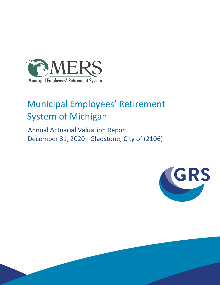

# Municipal Employees' Retirement System of Michigan

 Annual Actuarial Valuation Report December 31, 2020 - Gladstone, City of (2106)

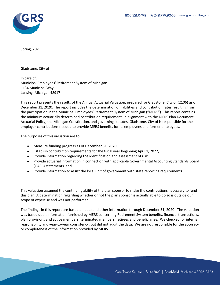

Spring, 2021

Gladstone, City of

In care of: Municipal Employees' Retirement System of Michigan 1134 Municipal Way Lansing, Michigan 48917

This report presents the results of the Annual Actuarial Valuation, prepared for Gladstone, City of (2106) as of December 31, 2020. The report includes the determination of liabilities and contribution rates resulting from the participation in the Municipal Employees' Retirement System of Michigan ("MERS"). This report contains the minimum actuarially determined contribution requirement, in alignment with the MERS Plan Document, Actuarial Policy, the Michigan Constitution, and governing statutes. Gladstone, City of is responsible for the employer contributions needed to provide MERS benefits for its employees and former employees.

The purposes of this valuation are to:

- Measure funding progress as of December 31, 2020,
- Establish contribution requirements for the fiscal year beginning April 1, 2022,
- Provide information regarding the identification and assessment of risk,
- Provide actuarial information in connection with applicable Governmental Accounting Standards Board (GASB) statements, and
- Provide information to assist the local unit of government with state reporting requirements.

This valuation assumed the continuing ability of the plan sponsor to make the contributions necessary to fund this plan. A determination regarding whether or not the plan sponsor is actually able to do so is outside our scope of expertise and was not performed.

The findings in this report are based on data and other information through December 31, 2020. The valuation was based upon information furnished by MERS concerning Retirement System benefits, financial transactions, plan provisions and active members, terminated members, retirees and beneficiaries. We checked for internal reasonability and year-to-year consistency, but did not audit the data. We are not responsible for the accuracy or completeness of the information provided by MERS.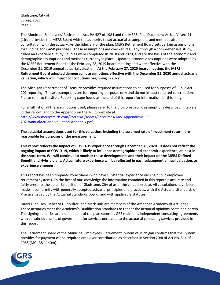Gladstone, City of Spring, 2021 Page 2

The Municipal Employees' Retirement Act, PA 427 of 1984 and the MERS' Plan Document Article VI sec. 71 (1)(d), provides the MERS Board with the authority to set actuarial assumptions and methods after consultation with the actuary. As the fiduciary of the plan, MERS Retirement Board sets certain assumptions for funding and GASB purposes. These assumptions are checked regularly through a comprehensive study, called an Experience Study. Studies were completed in 2018 and 2020, and are the basis of the economic and demographic assumptions and methods currently in place. Updated economic assumptions were adopted by the MERS Retirement Board at the February 28, 2019 board meeting and were effective with the December 31, 2019 annual actuarial valuation. **At the February 27, 2020 board meeting, the MERS Retirement Board adopted demographic assumptions effective with the December 31, 2020 annual actuarial valuation, which will impact contributions beginning in 2022.**

The Michigan Department of Treasury provides required assumptions to be used for purposes of Public Act 202 reporting. These assumptions are for reporting purposes only and do not impact required contributions. Please refer to the State Reporting page found at the end of this report for information for this filing.

For a full list of all the assumptions used, please refer to the division-specific assumptions described in table(s) in this report, and to the Appendix on the MERS website at: [http://www.mersofmich.com/Portals/0/Assets/Resources/AAV-Appendix/MERS-](http://www.mersofmich.com/Portals/0/Assets/Resources/AAV-Appendix/MERS-2020AnnualActuarialValuation-Appendix.pdf)[2020AnnualActuarialValuation-Appendix.pdf](http://www.mersofmich.com/Portals/0/Assets/Resources/AAV-Appendix/MERS-2020AnnualActuarialValuation-Appendix.pdf)

**The actuarial assumptions used for this valuation, including the assumed rate of investment return, are reasonable for purposes of the measurement.**

**This report reflects the impact of COVID-19 experience through December 31, 2020. It does not reflect the ongoing impact of COVID-19, which is likely to influence demographic and economic experience, at least in the short-term. We will continue to monitor these developments and their impact on the MERS Defined Benefit and Hybrid plans. Actual future experience will be reflected in each subsequent annual valuation, as experience emerges.**

This report has been prepared by actuaries who have substantial experience valuing public employee retirement systems. To the best of our knowledge the information contained in this report is accurate and fairly presents the actuarial position of Gladstone, City of as of the valuation date. All calculations have been made in conformity with generally accepted actuarial principles and practices, with the Actuarial Standards of Practice issued by the Actuarial Standards Board, and with applicable statutes.

David T. Kausch, Rebecca L. Stouffer, and Mark Buis are members of the American Academy of Actuaries. These actuaries meet the Academy's Qualification Standards to render the actuarial opinions contained herein. The signing actuaries are independent of the plan sponsor. GRS maintains independent consulting agreements with certain local units of government for services unrelated to the actuarial consulting services provided in this report.

The Retirement Board of the Municipal Employees' Retirement System of Michigan confirms that the System provides for payment of the required employer contribution as described in Section 20m of Act No. 314 of 1965 (MCL 38.1140m).

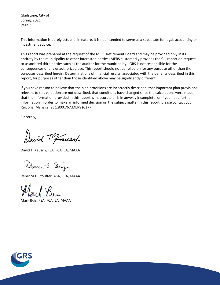Gladstone, City of Spring, 2021 Page 3

This information is purely actuarial in nature. It is not intended to serve as a substitute for legal, accounting or investment advice.

This report was prepared at the request of the MERS Retirement Board and may be provided only in its entirety by the municipality to other interested parties (MERS customarily provides the full report on request to associated third parties such as the auditor for the municipality). GRS is not responsible for the consequences of any unauthorized use. This report should not be relied on for any purpose other than the purposes described herein. Determinations of financial results, associated with the benefits described in this report, for purposes other than those identified above may be significantly different.

If you have reason to believe that the plan provisions are incorrectly described, that important plan provisions relevant to this valuation are not described, that conditions have changed since the calculations were made, that the information provided in this report is inaccurate or is in anyway incomplete, or if you need further information in order to make an informed decision on the subject matter in this report, please contact your Regional Manager at 1.800.767.MERS (6377).

Sincerely,

David Tofausch

David T. Kausch, FSA, FCA, EA, MAAA

Rebecca J. Stouffer

Rebecca L. Stouffer, ASA, FCA, MAAA

Mark Buis, FSA, FCA, EA, MAAA

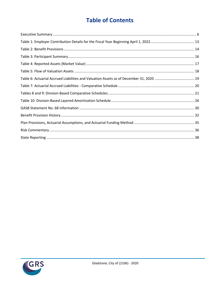# **Table of Contents**

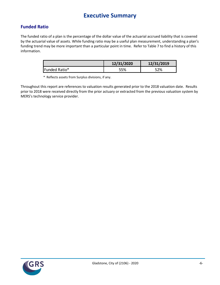# **Executive Summary**

### **Funded Ratio**

The funded ratio of a plan is the percentage of the dollar value of the actuarial accrued liability that is covered by the actuarial value of assets. While funding ratio may be a useful plan measurement, understanding a plan's funding trend may be more important than a particular point in time. Refer to Table 7 to find a history of this information.

|               | 12/31/2020 | 12/31/2019 |
|---------------|------------|------------|
| Funded Ratio* | 55%        | 52%        |

\* Reflects assets from Surplus divisions, if any.

Throughout this report are references to valuation results generated prior to the 2018 valuation date. Results prior to 2018 were received directly from the prior actuary or extracted from the previous valuation system by MERS's technology service provider.

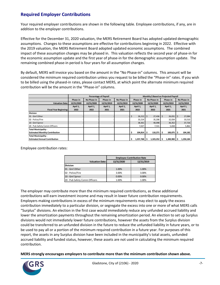### **Required Employer Contributions**

Your required employer contributions are shown in the following table. Employee contributions, if any, are in addition to the employer contributions.

Effective for the December 31, 2020 valuation, the MERS Retirement Board has adopted updated demographic assumptions. Changes to these assumptions are effective for contributions beginning in 2022. Effective with the 2019 valuation, the MERS Retirement Board adopted updated economic assumptions. The combined impact of these assumption changes may be phased in. This valuation reflects the second year of phase-in for the economic assumption update and the first year of phase-in for the demographic assumption update. The remaining combined phase-in period is four years for all assumption changes.

By default, MERS will invoice you based on the amount in the "No Phase-in" columns. This amount will be considered the minimum required contribution unless you request to be billed the "Phase-in" rates. If you wish to be billed using the phased-in rates, please contact MERS, at which point the alternate minimum required contribution will be the amount in the "Phase-in" columns.

|                                       | <b>Percentage of Payroll</b> |             |            |             |    | Monthly \$ Based on Projected Payroll |      |             |          |                |  |             |
|---------------------------------------|------------------------------|-------------|------------|-------------|----|---------------------------------------|------|-------------|----------|----------------|--|-------------|
|                                       | Phase-in                     | No Phase-in | Phase-in   | No Phase-in |    | Phase-in                              |      | No Phase-in |          | Phase-in       |  | No Phase-in |
| <b>Valuation Date:</b>                | 12/31/2020                   | 12/31/2020  | 12/31/2019 | 12/31/2019  |    | 12/31/2020                            |      | 12/31/2020  |          | 12/31/2019     |  | 12/31/2019  |
|                                       | April 1,                     | April 1,    | April 1,   | April 1,    |    | April 1,                              |      | April 1,    | April 1, |                |  | April 1,    |
| <b>Fiscal Year Beginning:</b>         | 2022                         | 2022        | 2021       | 2021        |    | 2022                                  |      | 2022        |          | 2021           |  | 2021        |
| <b>Division</b>                       |                              |             |            |             |    |                                       |      |             |          |                |  |             |
| 01 - Gnrl Other                       |                              |             |            |             | \$ | 26,212                                | I \$ | $27,436$ \$ |          | $26,031$ \$    |  | 27,084      |
| 02 - Police/Fire                      |                              |             |            |             |    | 33,214                                |      | 35,206      |          | 32,034         |  | 33,510      |
| 10 - Gnrl Sprvsr                      |                              |             |            |             |    | 38,361                                |      | 40,098      |          | 36,352         |  | 37,726      |
| 20 - Pub Safety Comm Officers         |                              |             |            |             |    | 7.027                                 |      | 7,531       |          | 5,658          |  | 5,862       |
| <b>Total Municipality -</b>           |                              |             |            |             |    |                                       |      |             |          |                |  |             |
| <b>Estimated Monthly Contribution</b> |                              |             |            |             |    | 104,814 \$                            |      | 110,271     |          | 100,075 \$     |  | 104,182     |
| <b>Total Municipality -</b>           |                              |             |            |             |    |                                       |      |             |          |                |  |             |
| <b>Estimated Annual Contribution</b>  |                              |             |            |             | Ś  | 1,257,768                             | ۱s   | 1,323,252   |          | $1,200,900$ \$ |  | 1,250,184   |

Employee contribution rates:

|                               | <b>Employee Contribution Rate</b> |            |  |  |  |  |
|-------------------------------|-----------------------------------|------------|--|--|--|--|
| <b>Valuation Date:</b>        | 12/31/2020                        | 12/31/2019 |  |  |  |  |
| <b>Division</b>               |                                   |            |  |  |  |  |
| 01 - Gnrl Other               | 1.00%                             | 1.00%      |  |  |  |  |
| 02 - Police/Fire              | 3.00%                             | 3.00%      |  |  |  |  |
| 10 - Gnrl Sprvsr              | 0.00%                             | 0.00%      |  |  |  |  |
| 20 - Pub Safety Comm Officers | 1.00%                             | 1.00%      |  |  |  |  |

The employer may contribute more than the minimum required contributions, as these additional contributions will earn investment income and may result in lower future contribution requirements. Employers making contributions in excess of the minimum requirements may elect to apply the excess contribution immediately to a particular division, or segregate the excess into one or more of what MERS calls "Surplus" divisions. An election in the first case would immediately reduce any unfunded accrued liability and lower the amortization payments throughout the remaining amortization period. An election to set up Surplus divisions would not immediately lower future contributions, however the assets from the Surplus division could be transferred to an unfunded division in the future to reduce the unfunded liability in future years, or to be used to pay all or a portion of the minimum required contribution in a future year. For purposes of this report, the assets in any Surplus division have been included in the municipality's total assets, unfunded accrued liability and funded status, however, these assets are not used in calculating the minimum required contribution.

**MERS strongly encourages employers to contribute more than the minimum contribution shown above.**

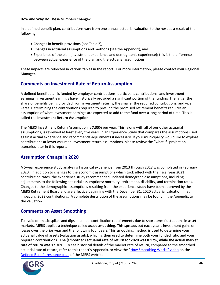#### **How and Why Do These Numbers Change?**

In a defined benefit plan, contributions vary from one annual actuarial valuation to the next as a result of the following:

- Changes in benefit provisions (see Table 2),
- Changes in actuarial assumptions and methods (see the Appendix), and
- Experience of the plan (investment experience and demographic experience); this is the difference between actual experience of the plan and the actuarial assumptions.

These impacts are reflected in various tables in the report. For more information, please contact your Regional Manager.

### **Comments on Investment Rate of Return Assumption**

A defined benefit plan is funded by employer contributions, participant contributions, and investment earnings. Investment earnings have historically provided a significant portion of the funding. The larger the share of benefits being provided from investment returns, the smaller the required contributions, and vice versa. Determining the contributions required to prefund the promised retirement benefits requires an assumption of what investment earnings are expected to add to the fund over a long period of time. This is called the **Investment Return Assumption**.

The MERS Investment Return Assumption is **7.35%** per year. This, along with all of our other actuarial assumptions, is reviewed at least every five years in an Experience Study that compares the assumptions used against actual experience and recommends adjustments if necessary. If your municipality would like to explore contributions at lower assumed investment return assumptions, please review the "what if" projection scenarios later in this report.

### **Assumption Change in 2020**

A 5-year experience study analyzing historical experience from 2013 through 2018 was completed in February 2020. In addition to changes to the economic assumptions which took effect with the fiscal year 2021 contribution rates, the experience study recommended updated demographic assumptions, including adjustments to the following actuarial assumptions: mortality, retirement, disability, and termination rates. Changes to the demographic assumptions resulting from the experience study have been approved by the MERS Retirement Board and are effective beginning with the December 31, 2020 actuarial valuation, first impacting 2022 contributions. A complete description of the assumptions may be found in the Appendix to the valuation.

### **Comments on Asset Smoothing**

To avoid dramatic spikes and dips in annual contribution requirements due to short term fluctuations in asset markets, MERS applies a technique called **asset smoothing**. This spreads out each year's investment gains or losses over the prior year and the following four years. This smoothing method is used to determine your actuarial value of assets (valuation assets), which is then used to determine both your funded ratio and your required contributions. **The (smoothed) actuarial rate of return for 2020 was 8.17%, while the actual market rate of return was 12.70%.** To see historical details of the market rate of return, compared to the smoothed actuarial rate of return, refer to this report's Appendix, or view the ["How Smoothing Works" vi](https://vimeo.com/mersofmich/review/290989403/5707240419)deo on the [Defined Benefit resource page](http://www.mersofmich.com/Employer/Programs/Defined-Benefit-Plan) of the MERS website.

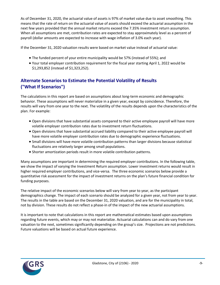As of December 31, 2020, the actuarial value of assets is 97% of market value due to asset smoothing. This means that the rate of return on the actuarial value of assets should exceed the actuarial assumption in the next few years provided that the annual market returns exceed the 7.35% investment return assumption. When all assumptions are met, contribution rates are expected to stay approximately level as a percent of payroll (dollar amounts are expected to increase with wage inflation of 3.0% each year).

If the December 31, 2020 valuation results were based on market value instead of actuarial value:

- The funded percent of your entire municipality would be 57% (instead of 55%); and
- Your total employer contribution requirement for the fiscal year starting April 1, 2022 would be \$1,293,852 (instead of \$1,323,252).

### **Alternate Scenarios to Estimate the Potential Volatility of Results ("What If Scenarios")**

The calculations in this report are based on assumptions about long-term economic and demographic behavior. These assumptions will never materialize in a given year, except by coincidence. Therefore, the results will vary from one year to the next. The volatility of the results depends upon the characteristics of the plan. For example:

- Open divisions that have substantial assets compared to their active employee payroll will have more volatile employer contribution rates due to investment return fluctuations.
- Open divisions that have substantial accrued liability compared to their active employee payroll will have more volatile employer contribution rates due to demographic experience fluctuations.
- Small divisions will have more volatile contribution patterns than larger divisions because statistical fluctuations are relatively larger among small populations.
- Shorter amortization periods result in more volatile contribution patterns.

Many assumptions are important in determining the required employer contributions. In the following table, we show the impact of varying the Investment Return assumption. Lower investment returns would result in higher required employer contributions, and vice-versa. The three economic scenarios below provide a quantitative risk assessment for the impact of investment returns on the plan's future financial condition for funding purposes.

The relative impact of the economic scenarios below will vary from year to year, as the participant demographics change. The impact of each scenario should be analyzed for a given year, not from year to year. The results in the table are based on the December 31, 2020 valuation, and are for the municipality in total, not by division. These results do not reflect a phase-in of the impact of the new actuarial assumptions.

It is important to note that calculations in this report are mathematical estimates based upon assumptions regarding future events, which may or may not materialize. Actuarial calculations can and do vary from one valuation to the next, sometimes significantly depending on the group's size. Projections are not predictions. Future valuations will be based on actual future experience.

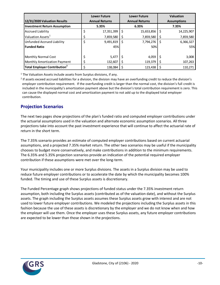|                                          | <b>Lower Future</b> |                       |   | <b>Lower Future</b>   |                    | <b>Valuation</b> |  |
|------------------------------------------|---------------------|-----------------------|---|-----------------------|--------------------|------------------|--|
| 12/31/2020 Valuation Results             |                     | <b>Annual Returns</b> |   | <b>Annual Returns</b> | <b>Assumptions</b> |                  |  |
| <b>Investment Return Assumption</b>      |                     | 5.35%                 |   | 6.35%                 |                    | 7.35%            |  |
| <b>Accrued Liability</b>                 | \$                  | 17,351,399            | S | 15,653,856            | \$                 | 14,225,907       |  |
| Valuation Assets <sup>1</sup>            | \$                  | 7,859,580             |   | 7,859,580             | \$                 | 7,859,580        |  |
| <b>Unfunded Accrued Liability</b>        | \$                  | 9,491,819             | S | 7,794,276             | Ś                  | 6,366,327        |  |
| <b>Funded Ratio</b>                      |                     | 45%                   |   | 50%                   |                    | 55%              |  |
| Monthly Normal Cost                      |                     | 5,477                 |   | 4,059                 |                    | 3,008            |  |
| <b>Monthly Amortization Payment</b>      | ⇒                   | 132,607               |   | 119,379               | S                  | 107,263          |  |
| Total Employer Contribution <sup>2</sup> |                     | 138.084               |   | 123,438               |                    | 110,271          |  |

 $1$  The Valuation Assets include assets from Surplus divisions, if any.

<sup>2</sup> If assets exceed accrued liabilities for a division, the division may have an overfunding credit to reduce the division's employer contribution requirement. If the overfunding credit is larger than the normal cost, the division's full credit is included in the municipality's amortization payment above but the division's total contribution requirement is zero. This can cause the displayed normal cost and amortization payment to not add up to the displayed total employer contribution.

### **Projection Scenarios**

The next two pages show projections of the plan's funded ratio and computed employer contributions under the actuarial assumptions used in the valuation and alternate economic assumption scenarios. All three projections take into account the past investment experience that will continue to affect the actuarial rate of return in the short term.

The 7.35% scenario provides an estimate of computed employer contributions based on current actuarial assumptions, and a projected 7.35% market return. The other two scenarios may be useful if the municipality chooses to budget more conservatively, and make contributions in addition to the minimum requirements. The 6.35% and 5.35% projection scenarios provide an indication of the potential required employer contribution if these assumptions were met over the long-term.

Your municipality includes one or more Surplus divisions. The assets in a Surplus division may be used to reduce future employer contributions or to accelerate the date by which the municipality becomes 100% funded. The timing and use of these Surplus assets is discretionary.

The Funded Percentage graph shows projections of funded status under the 7.35% investment return assumption, both including the Surplus assets (contributed as of the valuation date), and without the Surplus assets. The graph including the Surplus assets assumes these Surplus assets grow with interest and are not used to lower future employer contributions. We modeled the projections including the Surplus assets in this fashion because the use of these assets is discretionary by the employer and we do not know when and how the employer will use them. Once the employer uses these Surplus assets, any future employer contributions are expected to be lower than those shown in the projections.

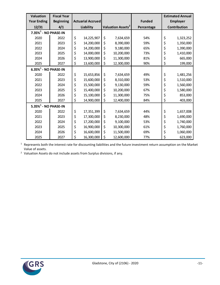| <b>Valuation</b>                    | <b>Fiscal Year</b> |           |                          |                               |               |              | <b>Estimated Annual</b> |
|-------------------------------------|--------------------|-----------|--------------------------|-------------------------------|---------------|--------------|-------------------------|
| <b>Year Ending</b>                  | <b>Beginning</b>   |           | <b>Actuarial Accrued</b> |                               | <b>Funded</b> |              | <b>Employer</b>         |
| 12/31                               | 4/1                | Liability |                          | Valuation Assets <sup>2</sup> | Percentage    | Contribution |                         |
| $7.35\%$ <sup>1</sup> - NO PHASE-IN |                    |           |                          |                               |               |              |                         |
| 2020                                | 2022               | \$        | 14,225,907               | \$<br>7,634,659               | 54%           | \$           | 1,323,252               |
| 2021                                | 2023               | \$        | 14,200,000               | \$<br>8,390,000               | 59%           | \$           | 1,350,000               |
| 2022                                | 2024               | \$        | 14,200,000               | \$<br>9,180,000               | 65%           | \$           | 1,390,000               |
| 2023                                | 2025               | \$        | 14,000,000               | \$<br>10,200,000              | 73%           | \$           | 1,410,000               |
| 2024                                | 2026               | \$        | 13,900,000               | \$<br>11,300,000              | 81%           | \$           | 665,000                 |
| 2025                                | 2027               | \$        | 13,600,000               | \$<br>12,300,000              | 90%           | \$           | 199,000                 |
| $6.35\%$ <sup>1</sup> - NO PHASE-IN |                    |           |                          |                               |               |              |                         |
| 2020                                | 2022               | \$        | 15,653,856               | \$<br>7,634,659               | 49%           | \$           | 1,481,256               |
| 2021                                | 2023               | \$        | 15,600,000               | \$<br>8,310,000               | 53%           | \$           | 1,510,000               |
| 2022                                | 2024               | \$        | 15,500,000               | \$<br>9,130,000               | 59%           | \$           | 1,560,000               |
| 2023                                | 2025               | \$        | 15,400,000               | \$<br>10,200,000              | 67%           | \$           | 1,580,000               |
| 2024                                | 2026               | \$        | 15,100,000               | \$<br>11,300,000              | 75%           | \$           | 853,000                 |
| 2025                                | 2027               | \$        | 14,900,000               | \$<br>12,400,000              | 84%           | \$           | 403,000                 |
| $5.35\%$ <sup>1</sup> - NO PHASE-IN |                    |           |                          |                               |               |              |                         |
| 2020                                | 2022               | \$        | 17,351,399               | \$<br>7,634,659               | 44%           | \$           | 1,657,008               |
| 2021                                | 2023               | \$        | 17,300,000               | \$<br>8,230,000               | 48%           | \$           | 1,690,000               |
| 2022                                | 2024               | \$        | 17,200,000               | \$<br>9,100,000               | 53%           | \$           | 1,740,000               |
| 2023                                | 2025               | \$        | 16,900,000               | \$<br>10,300,000              | 61%           | \$           | 1,760,000               |
| 2024                                | 2026               | \$        | 16,600,000               | \$<br>11,500,000              | 69%           | \$           | 1,060,000               |
| 2025                                | 2027               | \$        | 16,300,000               | \$<br>12,600,000              | 77%           | \$           | 623,000                 |

 Represents both the interest rate for discounting liabilities and the future investment return assumption on the Market Value of assets.

Valuation Assets do not include assets from Surplus divisions, if any.

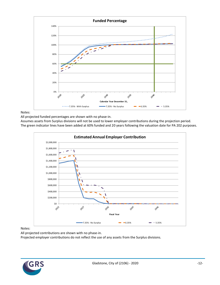

#### Notes:

All projected funded percentages are shown with no phase-in.

Assumes assets from Surplus divisions will not be used to lower employer contributions during the projection period. The green indicator lines have been added at 60% funded and 20 years following the valuation date for PA 202 purposes.



#### Notes:

All projected contributions are shown with no phase-in.

Projected employer contributions do not reflect the use of any assets from the Surplus divisions.

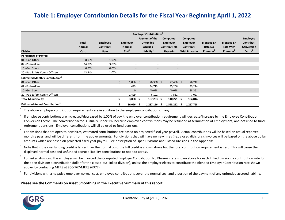# **Table 1: Employer Contribution Details for the Fiscal Year Beginning April 1, 2022**

|                                                    |               |            |                    | <b>Employer Contributions</b> <sup>1</sup> |                     |                |                       |                       |                     |
|----------------------------------------------------|---------------|------------|--------------------|--------------------------------------------|---------------------|----------------|-----------------------|-----------------------|---------------------|
|                                                    |               |            |                    | Payment of the                             | Computed            | Computed       |                       |                       | <b>Employee</b>     |
|                                                    | <b>Total</b>  | Employee   | <b>Employer</b>    | <b>Unfunded</b>                            | <b>Employer</b>     | Employer       | <b>Blended ER</b>     | <b>Blended ER</b>     | Contribut.          |
|                                                    | <b>Normal</b> | Contribut. | <b>Normal</b>      | Accrued                                    | Contribut. No       | Contribut.     | Rate No               | <b>Rate With</b>      | Conversion          |
| <b>Division</b>                                    | Cost          | Rate       | Cost <sup>6</sup>  | Liability <sup>4</sup>                     | Phase-In            | With Phase-In  | Phase-In <sup>3</sup> | Phase-In <sup>3</sup> | Factor <sup>2</sup> |
| <b>Percentage of Payroll</b>                       |               |            |                    |                                            |                     |                |                       |                       |                     |
| 01 - Gnrl Other                                    | 8.03%         | 1.00%      |                    |                                            |                     |                |                       |                       |                     |
| 02 - Police/Fire                                   | 14.08%        | 3.00%      |                    |                                            |                     |                |                       |                       |                     |
| 10 - Gnrl Sprvsr                                   | 0.00%         | 0.00%      |                    |                                            |                     |                |                       |                       |                     |
| 20 - Pub Safety Comm Officers                      | 13.94%        | 1.00%      |                    |                                            |                     |                |                       |                       |                     |
| <b>Estimated Monthly Contribution</b> <sup>3</sup> |               |            |                    |                                            |                     |                |                       |                       |                     |
| 01 - Gnrl Other                                    |               |            | \$<br>$1,086$   \$ | $26,350$ \$                                | $27,436$ \$         | 26,212         |                       |                       |                     |
| 02 - Police/Fire                                   |               |            | 493                | 34,713                                     | 35,206              | 33,214         |                       |                       |                     |
| 10 - Gnrl Sprvsr                                   |               |            |                    | 40,098                                     | 40,098              | 38,361         |                       |                       |                     |
| 20 - Pub Safety Comm Officers                      |               |            | 1,429              | 6,102                                      | 7,531               | 7,027          |                       |                       |                     |
| <b>Total Municipality</b>                          |               |            | 3,008<br>s         | 107,263<br>-S                              | 110,271             | 104,814<br>-\$ |                       |                       |                     |
| <b>Estimated Annual Contribution</b> <sup>3</sup>  |               |            | 36,096             | 1,287,156<br>-5                            | $1,323,252$ \$<br>S | 1,257,768      |                       |                       |                     |

1 The above employer contribution requirements are in addition to the employee contributions, if any.

2 If employee contributions are increased/decreased by 1.00% of pay, the employer contribution requirement will decrease/increase by the Employee Contribution Conversion Factor. The conversion factor is usually under 1%, because employee contributions may be refunded at termination of employment, and not used to fund retirement pensions. Employer contributions will all be used to fund pensions.

3 For divisions that are open to new hires, estimated contributions are based on projected fiscal year payroll. Actual contributions will be based on actual reported monthly pays, and will be different from the above amounts. For divisions that will have no new hires (i.e., closed divisions), invoices will be based on the above dollar amounts which are based on projected fiscal year payroll. See description of Open Divisions and Closed Divisions in the Appendix.

4 Note that if the overfunding credit is larger than the normal cost, the full credit is shown above but the total contribution requirement is zero. This will cause the displayed normal cost and unfunded accrued liability contributions to not add across.

5 For linked divisions, the employer will be invoiced the Computed Employer Contribution No Phase-in rate shown above for each linked division (a contribution rate for the open division; a contribution dollar for the closed-but-linked division), unless the employer elects to contribute the Blended Employer Contribution rate shown above, by contacting MERS at 800-767-MERS (6377).

6 For divisions with a negative employer normal cost, employee contributions cover the normal cost and a portion of the payment of any unfunded accrued liability.

#### **Please see the Comments on Asset Smoothing in the Executive Summary of this report.**

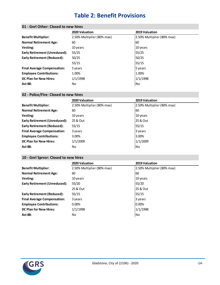# **Table 2: Benefit Provisions**

|                                      | 2020 Valuation             | 2019 Valuation             |
|--------------------------------------|----------------------------|----------------------------|
| <b>Benefit Multiplier:</b>           | 2.50% Multiplier (80% max) | 2.50% Multiplier (80% max) |
| <b>Normal Retirement Age:</b>        | 60                         | 60                         |
| Vesting:                             | 10 years                   | 10 years                   |
| <b>Early Retirement (Unreduced):</b> | 55/25                      | 55/25                      |
| <b>Early Retirement (Reduced):</b>   | 50/25                      | 50/25                      |
|                                      | 55/15                      | 55/15                      |
| <b>Final Average Compensation:</b>   | 5 years                    | 5 years                    |
| <b>Employee Contributions:</b>       | 1.00%                      | 1.00%                      |
| <b>DC Plan for New Hires:</b>        | 1/1/1998                   | 1/1/1998                   |
| <b>Act 88:</b>                       | No.                        | No                         |
|                                      |                            |                            |

### **01 - Gnrl Other: Closed to new hires**

### **02 - Police/Fire: Closed to new hires**

|                                      | 2020 Valuation             | 2019 Valuation             |
|--------------------------------------|----------------------------|----------------------------|
| <b>Benefit Multiplier:</b>           | 2.50% Multiplier (80% max) | 2.50% Multiplier (80% max) |
| <b>Normal Retirement Age:</b>        | 60                         | 60                         |
| Vesting:                             | 10 years                   | 10 years                   |
| <b>Early Retirement (Unreduced):</b> | 25 & Out                   | 25 & Out                   |
| Early Retirement (Reduced):          | 55/15                      | 55/15                      |
| <b>Final Average Compensation:</b>   | 3 years                    | 3 years                    |
| <b>Employee Contributions:</b>       | 3.00%                      | 3.00%                      |
| <b>DC Plan for New Hires:</b>        | 1/1/2009                   | 1/1/2009                   |
| <b>Act 88:</b>                       | No.                        | No                         |
|                                      |                            |                            |

### **10 - Gnrl Sprvsr: Closed to new hires**

|                                      | 2020 Valuation             | 2019 Valuation             |
|--------------------------------------|----------------------------|----------------------------|
| <b>Benefit Multiplier:</b>           | 2.50% Multiplier (80% max) | 2.50% Multiplier (80% max) |
| <b>Normal Retirement Age:</b>        | 60                         | 60                         |
| Vesting:                             | 10 years                   | 10 years                   |
| <b>Early Retirement (Unreduced):</b> | 55/20                      | 55/20                      |
|                                      | 25 & Out                   | 25 & Out                   |
| <b>Early Retirement (Reduced):</b>   | 55/15                      | 55/15                      |
| <b>Final Average Compensation:</b>   | 3 years                    | 3 years                    |
| <b>Employee Contributions:</b>       | $0.00\%$                   | 0.00%                      |
| <b>DC Plan for New Hires:</b>        | 1/1/1998                   | 1/1/1998                   |
| <b>Act 88:</b>                       | No                         | No                         |
|                                      |                            |                            |

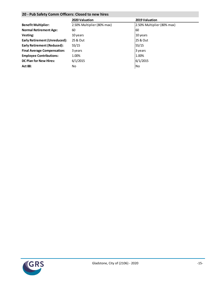### **20 - Pub Safety Comm Officers: Closed to new hires**

|                                    | 2020 Valuation             | 2019 Valuation             |
|------------------------------------|----------------------------|----------------------------|
| <b>Benefit Multiplier:</b>         | 2.50% Multiplier (80% max) | 2.50% Multiplier (80% max) |
| <b>Normal Retirement Age:</b>      | 60                         | 60                         |
| Vesting:                           | 10 years                   | 10 years                   |
| Early Retirement (Unreduced):      | 25 & Out                   | 125 & Out                  |
| Early Retirement (Reduced):        | 55/15                      | 55/15                      |
| <b>Final Average Compensation:</b> | 3 years                    | 3 years                    |
| <b>Employee Contributions:</b>     | 1.00%                      | 1.00%                      |
| <b>DC Plan for New Hires:</b>      | 6/1/2015                   | 6/1/2015                   |
| <b>Act 88:</b>                     | No.                        | <b>No</b>                  |
|                                    |                            |                            |

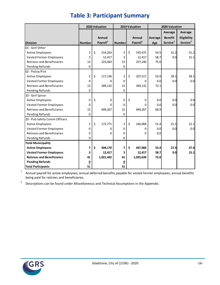|                                   | 2020 Valuation |    |                                | 2019 Valuation          |    |                                | 2020 Valuation        |                                                   |                                                       |  |
|-----------------------------------|----------------|----|--------------------------------|-------------------------|----|--------------------------------|-----------------------|---------------------------------------------------|-------------------------------------------------------|--|
| <b>Division</b>                   | <b>Number</b>  |    | Annual<br>Payroll <sup>1</sup> | <b>Number</b>           |    | Annual<br>Payroll <sup>1</sup> | <b>Average</b><br>Age | Average<br><b>Benefit</b><br>Service <sup>2</sup> | <b>Average</b><br>Eligibility<br>Service <sup>2</sup> |  |
| 01 - Gnrl Other                   |                |    |                                |                         |    |                                |                       |                                                   |                                                       |  |
| <b>Active Employees</b>           | 3              | \$ | 214,263                        | 3                       | \$ | 193,475                        | 54.5                  | 31.2                                              | 31.2                                                  |  |
| <b>Vested Former Employees</b>    | 3              |    | 12,417                         | 3                       |    | 12,417                         | 58.7                  | 9.0                                               | 15.1                                                  |  |
| <b>Retirees and Beneficiaries</b> | 13             |    | 223,043                        | 13                      |    | 237,240                        | 75.6                  |                                                   |                                                       |  |
| Pending Refunds                   | 0              |    |                                | 0                       |    |                                |                       |                                                   |                                                       |  |
| 02 - Police/Fire                  |                |    |                                |                         |    |                                |                       |                                                   |                                                       |  |
| <b>Active Employees</b>           | 2              | \$ | 117,136                        | $\overline{2}$          | \$ | 107,517                        | 53.9                  | 28.1                                              | 28.1                                                  |  |
| <b>Vested Former Employees</b>    | 0              |    | 0                              | 0                       |    | 0                              | 0.0                   | 0.0                                               | 0.0                                                   |  |
| <b>Retirees and Beneficiaries</b> | 13             |    | 349,132                        | 13                      |    | 349,132                        | 72.1                  |                                                   |                                                       |  |
| Pending Refunds                   | 0              |    |                                | 0                       |    |                                |                       |                                                   |                                                       |  |
| 10 - Gnrl Sprvsr                  |                |    |                                |                         |    |                                |                       |                                                   |                                                       |  |
| <b>Active Employees</b>           | 0              | Ś. | 0                              | 0                       | \$ | 0                              | 0.0                   | 0.0                                               | 0.0                                                   |  |
| <b>Vested Former Employees</b>    | 0              |    | $\Omega$                       | 0                       |    | 0                              | 0.0                   | 0.0                                               | 0.0                                                   |  |
| Retirees and Beneficiaries        | 15             |    | 449,267                        | 15                      |    | 449,267                        | 68.9                  |                                                   |                                                       |  |
| Pending Refunds                   | 0              |    |                                | $\mathbf{0}$            |    |                                |                       |                                                   |                                                       |  |
| 20 - Pub Safety Comm Officers     |                |    |                                |                         |    |                                |                       |                                                   |                                                       |  |
| <b>Active Employees</b>           | 2              | \$ | 172,771                        | $\overline{2}$          | \$ | 146,968                        | 51.4                  | 21.1                                              | 21.1                                                  |  |
| <b>Vested Former Employees</b>    | 0              |    | 0                              | 0                       |    | 0                              | 0.0                   | 0.0                                               | 0.0                                                   |  |
| <b>Retirees and Beneficiaries</b> | 0              |    | 0                              | 0                       |    | 0                              | 0.0                   |                                                   |                                                       |  |
| Pending Refunds                   | 0              |    |                                | 0                       |    |                                |                       |                                                   |                                                       |  |
| <b>Total Municipality</b>         |                |    |                                |                         |    |                                |                       |                                                   |                                                       |  |
| <b>Active Employees</b>           | 7              | \$ | 504,170                        | 7                       | \$ | 447,960                        | 53.4                  | 27.4                                              | 27.4                                                  |  |
| <b>Vested Former Employees</b>    | 3              |    | 12,417                         | 3                       |    | 12,417                         | 58.7                  | 9.0                                               | 15.1                                                  |  |
| <b>Retirees and Beneficiaries</b> | 41             |    | 1,021,442                      | 41                      |    | 1,035,639                      | 72.0                  |                                                   |                                                       |  |
| <b>Pending Refunds</b>            | <u>0</u>       |    |                                | $\overline{\mathbf{0}}$ |    |                                |                       |                                                   |                                                       |  |
| <b>Total Participants</b>         | 51             |    |                                | 51                      |    |                                |                       |                                                   |                                                       |  |

# **Table 3: Participant Summary**

1 Annual payroll for active employees; annual deferred benefits payable for vested former employees; annual benefits being paid for retirees and beneficiaries.

2 Descriptions can be found under Miscellaneous and Technical Assumptions in the Appendix.

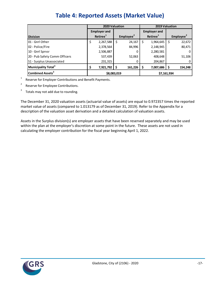|                                 | 2020 Valuation |                      | 2019 Valuation        |    |                      |             |                       |
|---------------------------------|----------------|----------------------|-----------------------|----|----------------------|-------------|-----------------------|
|                                 |                | <b>Employer and</b>  |                       |    | <b>Employer and</b>  |             |                       |
| <b>Division</b>                 |                | Retiree <sup>1</sup> | Employee <sup>2</sup> |    | Retiree <sup>1</sup> |             | Employee <sup>2</sup> |
| 01 - Gnrl Other                 | \$             | 2,267,588            | \$<br>24,167          | \$ | 1,964,645            | S           | 22,672                |
| 02 - Police/Fire                |                | 2,378,564            | 84,996                |    | 2,148,945            |             | 80,471                |
| 10 - Gnrl Sprvsr                |                | 2,506,887            |                       |    | 2,280,581            |             |                       |
| 20 - Pub Safety Comm Officers   |                | 537,439              | 52,063                |    | 408,648              |             | 51,106                |
| S1 - Surplus Unassociated       |                | 231,315              |                       |    | 204,867              |             |                       |
| Municipality Total <sup>3</sup> | \$             | 7,921,792            | \$<br>161,226         |    | 7,007,686            | -\$         | 154,248               |
| Combined Assets <sup>3</sup>    |                | \$8,083,019          |                       |    |                      | \$7,161,934 |                       |

1 Reserve for Employer Contributions and Benefit Payments.

2 Reserve for Employee Contributions.

3 Totals may not add due to rounding.

The December 31, 2020 valuation assets (actuarial value of assets) are equal to 0.972357 times the reported market value of assets (compared to 1.013179 as of December 31, 2019). Refer to the Appendix for a description of the valuation asset derivation and a detailed calculation of valuation assets.

Assets in the Surplus division(s) are employer assets that have been reserved separately and may be used within the plan at the employer's discretion at some point in the future. These assets are not used in calculating the employer contribution for the fiscal year beginning April 1, 2022.

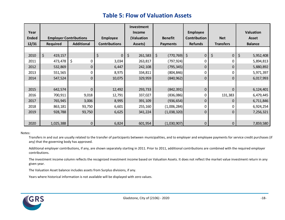# **Table 5: Flow of Valuation Assets**

|              |                               |                   |                      | Investment    |                  |                        |                  |                  |
|--------------|-------------------------------|-------------------|----------------------|---------------|------------------|------------------------|------------------|------------------|
| Year         |                               |                   |                      | <b>Income</b> |                  | <b>Employee</b>        |                  | <b>Valuation</b> |
| <b>Ended</b> | <b>Employer Contributions</b> |                   | <b>Employee</b>      | (Valuation    | <b>Benefit</b>   | Contribution           | <b>Net</b>       | <b>Asset</b>     |
| 12/31        | <b>Required</b>               | <b>Additional</b> | <b>Contributions</b> | Assets)       | <b>Payments</b>  | <b>Refunds</b>         | <b>Transfers</b> | <b>Balance</b>   |
|              |                               |                   |                      |               |                  |                        |                  |                  |
| 2010         | \$<br>419,157                 |                   | \$<br>0              | \$<br>261,583 | \$<br>(770, 769) | $\zeta$<br>$\mathbf 0$ | \$<br>$\pmb{0}$  | \$<br>5,952,408  |
| 2011         | 473,478                       | \$<br>0           | 3,034                | 263,817       | (797,924)        | 0                      | 0                | 5,894,813        |
| 2012         | 532,869                       | 0                 | 6,447                | 242,108       | (795, 345)       | 0                      | 0                | 5,880,892        |
| 2013         | 551,565                       | 0                 | 8,975                | 334,811       | (804, 846)       | 0                      | 0                | 5,971,397        |
| 2014         | 547,524                       | $\pmb{0}$         | 10,075               | 329,959       | (840, 962)       | 0                      | 0                | 6,017,993        |
|              |                               |                   |                      |               |                  |                        |                  |                  |
| 2015         | 642,574                       | $\mathbf 0$       | 12,492               | 293,733       | (842, 391)       | $\mathbf 0$            | 0                | 6,124,401        |
| 2016         | 700,911                       | 9,018             | 12,791               | 337,027       | (836,086)        | 0                      | 131,383          | 6,479,445        |
| 2017         | 765,945                       | 3,006             | 8,995                | 391,109       | (936, 654)       | 0                      | 0                | 6,711,846        |
| 2018         | 863,181                       | 93,750            | 6,601                | 255,160       | (1,006,284)      | 0                      | 0                | 6,924,254        |
| 2019         | 928,788                       | 93,750            | 6,625                | 341,224       | (1,038,320)      | 0                      | $\mathbf 0$      | 7,256,321        |
|              |                               |                   |                      |               |                  |                        |                  |                  |
| 2020         | 1,025,388                     | $\pmb{0}$         | 6,824                | 601,954       | (1,030,907)      | 0                      | 0                | 7,859,580        |

#### Notes:

Transfers in and out are usually related to the transfer of participants between municipalities, and to employer and employee payments for service credit purchases (if any) that the governing body has approved.

Additional employer contributions, if any, are shown separately starting in 2011. Prior to 2011, additional contributions are combined with the required employer contributions.

The investment income column reflects the recognized investment income based on Valuation Assets. It does not reflect the market value investment return in any given year.

The Valuation Asset balance includes assets from Surplus divisions, if any.

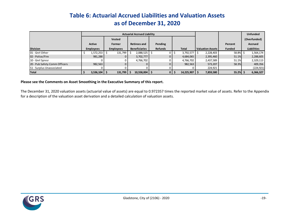# **Table 6: Actuarial Accrued Liabilities and Valuation Assets as of December 31, 2020**

|                               | <b>Actuarial Accrued Liability</b> |                  |                      |                |                |                         |               | <b>Unfunded</b>    |
|-------------------------------|------------------------------------|------------------|----------------------|----------------|----------------|-------------------------|---------------|--------------------|
|                               |                                    | <b>Vested</b>    |                      |                |                |                         |               | (Overfunded)       |
|                               | <b>Active</b>                      | Former           | <b>Retirees and</b>  | Pending        |                |                         | Percent       | <b>Accrued</b>     |
| <b>Division</b>               | <b>Employees</b>                   | <b>Employees</b> | <b>Beneficiaries</b> | <b>Refunds</b> | <b>Total</b>   | <b>Valuation Assets</b> | <b>Funded</b> | <b>Liabilities</b> |
| 01 - Gnrl Other               | 1,572,253                          | 131,799          | $2,088,525$ \$       |                | $3,792,577$ \$ | 2,228,403               | 58.8% \$      | 1,564,174          |
| 02 - Police/Fire              | 981,288                            | 0                | 3,702,777            |                | 4,684,065      | 2,395,460               | 51.1%         | 2,288,605          |
| 10 - Gnrl Sprvsr              |                                    |                  | 4,766,702            |                | 4,766,702      | 2,437,589               | 51.1%         | 2,329,113          |
| 20 - Pub Safety Comm Officers | 982,563                            |                  |                      |                | 982,563        | 573,207                 | 58.3%         | 409,356            |
| S1 - Surplus Unassociated     |                                    |                  |                      |                |                | 224.921                 |               | (224, 921)         |
| <b>Total</b>                  | $3,536,104$ \$                     | 131,799          | $10,558,004$   \$    |                | 14,225,907 \$  | 7,859,580               | 55.2%         | 6,366,327          |

#### **Please see the Comments on Asset Smoothing in the Executive Summary of this report.**

The December 31, 2020 valuation assets (actuarial value of assets) are equal to 0.972357 times the reported market value of assets. Refer to the Appendix for a description of the valuation asset derivation and a detailed calculation of valuation assets.

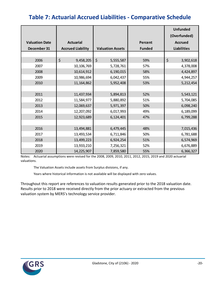# **Table 7: Actuarial Accrued Liabilities - Comparative Schedule**

|                       |                          |                         |                | <b>Unfunded</b><br>(Overfunded) |
|-----------------------|--------------------------|-------------------------|----------------|---------------------------------|
| <b>Valuation Date</b> | <b>Actuarial</b>         |                         | <b>Percent</b> | <b>Accrued</b>                  |
| December 31           | <b>Accrued Liability</b> | <b>Valuation Assets</b> | <b>Funded</b>  | <b>Liabilities</b>              |
|                       |                          |                         |                |                                 |
| 2006                  | \$<br>9,458,205          | $\zeta$<br>5,555,587    | 59%            | \$<br>3,902,618                 |
| 2007                  | 10,106,769               | 5,728,761               | 57%            | 4,378,008                       |
| 2008                  | 10,614,912               | 6,190,015               | 58%            | 4,424,897                       |
| 2009                  | 10,986,694               | 6,042,437               | 55%            | 4,944,257                       |
| 2010                  | 11, 164, 862             | 5,952,408               | 53%            | 5,212,454                       |
|                       |                          |                         |                |                                 |
| 2011                  | 11,437,934               | 5,894,813               | 52%            | 5,543,121                       |
| 2012                  | 11,584,977               | 5,880,892               | 51%            | 5,704,085                       |
| 2013                  | 12,069,637               | 5,971,397               | 50%            | 6,098,240                       |
| 2014                  | 12,207,092               | 6,017,993               | 49%            | 6,189,099                       |
| 2015                  | 12,923,689               | 6,124,401               | 47%            | 6,799,288                       |
|                       |                          |                         |                |                                 |
| 2016                  | 13,494,881               | 6,479,445               | 48%            | 7,015,436                       |
| 2017                  | 13,493,534               | 6,711,846               | 50%            | 6,781,688                       |
| 2018                  | 13,499,223               | 6,924,254               | 51%            | 6,574,969                       |
| 2019                  | 13,933,210               | 7,256,321               | 52%            | 6,676,889                       |
| 2020                  | 14,225,907               | 7,859,580               | 55%            | 6,366,327                       |

Notes: Actuarial assumptions were revised for the 2008, 2009, 2010, 2011, 2012, 2015, 2019 and 2020 actuarial valuations.

The Valuation Assets include assets from Surplus divisions, if any.

Years where historical information is not available will be displayed with zero values.

Throughout this report are references to valuation results generated prior to the 2018 valuation date. Results prior to 2018 were received directly from the prior actuary or extracted from the previous valuation system by MERS's technology service provider.

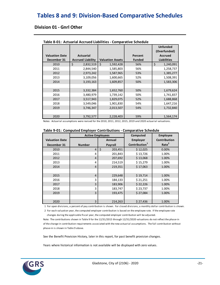# **Tables 8 and 9: Division-Based Comparative Schedules**

### **Division 01 - Gnrl Other**

|                       |                          |                         |               | <b>Unfunded</b><br>(Overfunded) |
|-----------------------|--------------------------|-------------------------|---------------|---------------------------------|
| <b>Valuation Date</b> | <b>Actuarial</b>         |                         | Percent       | <b>Accrued</b>                  |
| December 31           | <b>Accrued Liability</b> | <b>Valuation Assets</b> | <b>Funded</b> | <b>Liabilities</b>              |
| 2010                  | \$<br>2,832,519          | Ś.<br>1,592,428         | 56%           | \$<br>1,240,091                 |
| 2011                  | 2,844,540                | 1,585,803               | 56%           | 1,258,737                       |
| 2012                  | 2,973,242                | 1,587,965               | 53%           | 1,385,277                       |
| 2013                  | 3,109,056                | 1,600,665               | 52%           | 1,508,391                       |
| 2014                  | 3,193,163                | 1,609,857               | 50%           | 1,583,306                       |
|                       |                          |                         |               |                                 |
| 2015                  | 3,332,384                | 1,652,760               | 50%           | 1,679,624                       |
| 2016                  | 3,480,979                | 1,739,142               | 50%           | 1,741,837                       |
| 2017                  | 3,517,943                | 1,829,075               | 52%           | 1,688,868                       |
| 2018                  | 3,549,046                | 1,901,830               | 54%           | 1,647,216                       |
| 2019                  | 3,746,347                | 2,013,507               | 54%           | 1,732,840                       |
|                       |                          |                         |               |                                 |
| 2020                  | 3,792,577                | 2,228,403               | 59%           | 1,564,174                       |

**Table 8-01: Actuarial Accrued Liabilities - Comparative Schedule**

Notes: Actuarial assumptions were revised for the 2010, 2011, 2012, 2015, 2019 and 2020 actuarial valuations.

|  |  |  | Table 9-01: Computed Employer Contributions - Comparative Schedule |
|--|--|--|--------------------------------------------------------------------|
|--|--|--|--------------------------------------------------------------------|

|                       | <b>Active Employees</b> |                    | Computed                  | <b>Employee</b>     |
|-----------------------|-------------------------|--------------------|---------------------------|---------------------|
| <b>Valuation Date</b> |                         | Annual             | <b>Employer</b>           | <b>Contribution</b> |
| December 31           | <b>Number</b>           | Payroll            | Contribution <sup>1</sup> | Rate <sup>2</sup>   |
| 2010                  | $\overline{4}$          | $\zeta$<br>203,451 | \$12,025                  | 0.00%               |
| 2011                  | 4                       | 201,843            | \$13,726                  | 1.00%               |
| 2012                  | $\overline{4}$          | 207,692            | \$13,068                  | 1.00%               |
| 2013                  | 4                       | 214,519            | \$15,279                  | 1.00%               |
| 2014                  | $\overline{4}$          | 219,351            | \$17,063                  | 1.00%               |
|                       |                         |                    |                           |                     |
| 2015                  | $\overline{4}$          | 229,648            | \$19,714                  | 1.00%               |
| 2016                  | 3                       | 184,133            | \$21,251                  | 1.00%               |
| 2017                  | 3                       | 183,906            | \$22,226                  | 1.00%               |
| 2018                  | 3                       | 183,747            | \$23,737                  | 1.00%               |
| 2019                  | 3                       | 193,475            | \$27,084                  | 1.00%               |
|                       |                         |                    |                           |                     |
| 2020                  | 3                       | 214,263            | \$27,436                  | 1.00%               |

1 For open divisions, a percent of pay contribution is shown. For closed divisions, a monthly dollar contribution is shown.

 2 For each valuation year, the computed employer contribution is based on the employee rate. If the employee rate changes during the applicable fiscal year, the computed employer contribution will be adjusted.

Note: The contributions shown in Table 9 for the 12/31/2015 through 12/31/2020 valuations do not reflect the phase-in of the change in contribution requirements associated with the new actuarial assumptions. The full contribution without phase-in is shown in Table 9 above.

See the Benefit Provision History, later in this report, for past benefit provision changes.

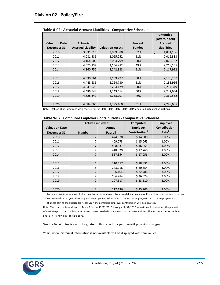|                       |                          |                         |               | <b>Unfunded</b><br>(Overfunded) |
|-----------------------|--------------------------|-------------------------|---------------|---------------------------------|
| <b>Valuation Date</b> | <b>Actuarial</b>         |                         | Percent       | <b>Accrued</b>                  |
| December 31           | <b>Accrued Liability</b> | <b>Valuation Assets</b> | <b>Funded</b> | <b>Liabilities</b>              |
| 2010                  | \$<br>3,931,016          | \$<br>2,059,880         | 52%           | \$<br>1,871,136                 |
| 2011                  | 4,081,585                | 2,065,252               | 51%           | 2,016,333                       |
| 2012                  | 4,164,506                | 2,084,799               | 50%           | 2,079,707                       |
| 2013                  | 4,375,137                | 2,156,982               | 49%           | 2,218,155                       |
| 2014                  | 4,360,750                | 2,242,838               | 51%           | 2,117,912                       |
|                       |                          |                         |               |                                 |
| 2015                  | 4,330,064                | 2,159,797               | 50%           | 2,170,267                       |
| 2016                  | 4,448,686                | 2,264,730               | 51%           | 2,183,956                       |
| 2017                  | 4,541,528                | 2,284,179               | 50%           | 2,257,349                       |
| 2018                  | 4,486,548                | 2,243,614               | 50%           | 2,242,934                       |
| 2019                  | 4,628,349                | 2,258,797               | 49%           | 2,369,552                       |
|                       |                          |                         |               |                                 |
| 2020                  | 4,684,065                | 2,395,460               | 51%           | 2,288,605                       |

|  | Table 9-02: Computed Employer Contributions - Comparative Schedule |  |  |  |
|--|--------------------------------------------------------------------|--|--|--|
|--|--------------------------------------------------------------------|--|--|--|

|                       |                | <b>Active Employees</b> |                           | <b>Employee</b>     |
|-----------------------|----------------|-------------------------|---------------------------|---------------------|
| <b>Valuation Date</b> |                | Annual                  | <b>Employer</b>           | <b>Contribution</b> |
| December 31           | <b>Number</b>  | <b>Payroll</b>          | Contribution <sup>1</sup> | Rate <sup>2</sup>   |
| 2010                  | $\overline{7}$ | \$<br>424,870           | \$14,000                  | 0.00%               |
| 2011                  | 7              | 409,073                 | \$15,065                  | 1.00%               |
| 2012                  | $\overline{7}$ | 408,831                 | \$16,055                  | 1.00%               |
| 2013                  | 7              | 418,329                 | \$17,760                  | 1.00%               |
| 2014                  | 7              | 357,354                 | \$17,056                  | 2.00%               |
|                       |                |                         |                           |                     |
| 2015                  | 6              | 310,657                 | \$18,831                  | 3.00%               |
| 2016                  | 5              | 273,218                 | \$20,354                  | 3.00%               |
| 2017                  | $\overline{2}$ | 106,104                 | \$22,786                  | 3.00%               |
| 2018                  | $\overline{2}$ | 106,284                 | \$26,324                  | 3.00%               |
| 2019                  | $\overline{2}$ | 107,517                 | \$33,510                  | 3.00%               |
|                       |                |                         |                           |                     |
| 2020                  | $\overline{2}$ | 117,136                 | \$35,206                  | 3.00%               |

1 For open divisions, a percent of pay contribution is shown. For closed divisions, a monthly dollar contribution is shown.

 2 For each valuation year, the computed employer contribution is based on the employee rate. If the employee rate changes during the applicable fiscal year, the computed employer contribution will be adjusted.

Note: The contributions shown in Table 9 for the 12/31/2015 through 12/31/2020 valuations do not reflect the phase-in of the change in contribution requirements associated with the new actuarial assumptions. The full contribution without phase-in is shown in Table 9 above.

See the Benefit Provision History, later in this report, for past benefit provision changes.

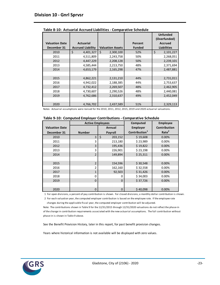|                                      |                                              |                         |                          | <b>Unfunded</b><br>(Overfunded) |
|--------------------------------------|----------------------------------------------|-------------------------|--------------------------|---------------------------------|
| <b>Valuation Date</b><br>December 31 | <b>Actuarial</b><br><b>Accrued Liability</b> | <b>Valuation Assets</b> | Percent<br><b>Funded</b> | Accrued<br><b>Liabilities</b>   |
| 2010                                 | \$<br>4,401,327                              | \$<br>2,300,100         | 52%                      | \$<br>2,101,227                 |
| 2011                                 | 4,511,809                                    | 2,243,758               | 50%                      | 2,268,051                       |
| 2012                                 | 4,447,229                                    | 2,208,128               | 50%                      | 2,239,101                       |
| 2013                                 | 4,585,444                                    | 2,213,750               | 48%                      | 2,371,694                       |
| 2014                                 | 4,653,179                                    | 2,165,298               | 47%                      | 2,487,881                       |
|                                      |                                              |                         |                          |                                 |
| 2015                                 | 4,862,221                                    | 2,131,210               | 44%                      | 2,731,011                       |
| 2016                                 | 4,942,022                                    | 2,188,385               | 44%                      | 2,753,637                       |
| 2017                                 | 4,732,412                                    | 2,269,507               | 48%                      | 2,462,905                       |
| 2018                                 | 4,730,607                                    | 2,290,526               | 48%                      | 2,440,081                       |
| 2019                                 | 4,762,686                                    | 2,310,637               | 49%                      | 2,452,049                       |
|                                      |                                              |                         |                          |                                 |
| 2020                                 | 4,766,702                                    | 2,437,589               | 51%                      | 2,329,113                       |

|  | Table 9-10: Computed Employer Contributions - Comparative Schedule |  |  |  |
|--|--------------------------------------------------------------------|--|--|--|
|--|--------------------------------------------------------------------|--|--|--|

|                       | <b>Active Employees</b> |               | Computed                  | <b>Employee</b>     |
|-----------------------|-------------------------|---------------|---------------------------|---------------------|
| <b>Valuation Date</b> |                         | Annual        | <b>Employer</b>           | <b>Contribution</b> |
| December 31           | <b>Number</b>           | Payroll       | Contribution <sup>1</sup> | Rate <sup>2</sup>   |
| 2010                  | 3                       | \$<br>203,152 | \$19,608                  | 0.00%               |
| 2011                  | 3                       | 213,180       | \$23,989                  | 0.00%               |
| 2012                  | 3                       | 195,436       | \$19,822                  | 0.00%               |
| 2013                  | 3                       | 226,901       | \$23,198                  | 0.00%               |
| 2014                  | $\overline{2}$          | 149,894       | \$25,311                  | 0.00%               |
|                       |                         |               |                           |                     |
| 2015                  | $\overline{2}$          | 154,596       | \$30,548                  | 0.00%               |
| 2016                  | 2                       | 162,160       | \$32,558                  | 0.00%               |
| 2017                  | $\mathbf{1}$            | 92,503        | \$31,426                  | 0.00%               |
| 2018                  | 0                       | n             | \$34,003                  | 0.00%               |
| 2019                  | $\Omega$                | $\Omega$      | \$37,726                  | 0.00%               |
|                       |                         |               |                           |                     |
| 2020                  | 0                       | $\mathbf 0$   | \$40,098                  | 0.00%               |

1 For open divisions, a percent of pay contribution is shown. For closed divisions, a monthly dollar contribution is shown.

 2 For each valuation year, the computed employer contribution is based on the employee rate. If the employee rate changes during the applicable fiscal year, the computed employer contribution will be adjusted.

Note: The contributions shown in Table 9 for the 12/31/2015 through 12/31/2020 valuations do not reflect the phase-in of the change in contribution requirements associated with the new actuarial assumptions. The full contribution without phase-in is shown in Table 9 above.

See the Benefit Provision History, later in this report, for past benefit provision changes.

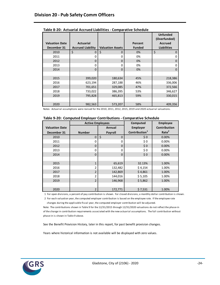|                                      |                                              |                         |                          | <b>Unfunded</b><br>(Overfunded)      |
|--------------------------------------|----------------------------------------------|-------------------------|--------------------------|--------------------------------------|
| <b>Valuation Date</b><br>December 31 | <b>Actuarial</b><br><b>Accrued Liability</b> | <b>Valuation Assets</b> | Percent<br><b>Funded</b> | <b>Accrued</b><br><b>Liabilities</b> |
| 2010                                 | \$<br>$\Omega$                               | \$<br>$\mathbf 0$       | 0%                       | \$<br>0                              |
| 2011                                 | 0                                            | 0                       | 0%                       | ი                                    |
| 2012                                 | 0                                            | 0                       | 0%                       | 0                                    |
| 2013                                 | 0                                            | 0                       | 0%                       | 0                                    |
| 2014                                 | $\Omega$                                     | $\Omega$                | 0%                       | 0                                    |
|                                      |                                              |                         |                          |                                      |
| 2015                                 | 399,020                                      | 180,634                 | 45%                      | 218,386                              |
| 2016                                 | 623,194                                      | 287,188                 | 46%                      | 336,006                              |
| 2017                                 | 701,651                                      | 329,085                 | 47%                      | 372,566                              |
| 2018                                 | 733,022                                      | 386,395                 | 53%                      | 346,627                              |
| 2019                                 | 795,828                                      | 465,813                 | 59%                      | 330,015                              |
|                                      |                                              |                         |                          |                                      |
| 2020                                 | 982,563                                      | 573,207                 | 58%                      | 409,356                              |

**Table 8-20: Actuarial Accrued Liabilities - Comparative Schedule**

|  | Table 9-20: Computed Employer Contributions - Comparative Schedule |  |  |  |
|--|--------------------------------------------------------------------|--|--|--|
|--|--------------------------------------------------------------------|--|--|--|

|                       | <b>Active Employees</b> |                   | Computed                  | <b>Employee</b>     |
|-----------------------|-------------------------|-------------------|---------------------------|---------------------|
| <b>Valuation Date</b> |                         | Annual            | <b>Employer</b>           | <b>Contribution</b> |
| December 31           | <b>Number</b>           | Payroll           | Contribution <sup>1</sup> | Rate <sup>2</sup>   |
| 2010                  | $\mathbf 0$             | \$<br>$\mathbf 0$ | \$0                       | 0.00%               |
| 2011                  | 0                       | 0                 | \$0                       | 0.00%               |
| 2012                  | 0                       | $\Omega$          | \$0                       | 0.00%               |
| 2013                  | 0                       | 0                 | \$0                       | 0.00%               |
| 2014                  | $\mathbf 0$             | $\mathbf 0$       | \$0                       | 0.00%               |
|                       |                         |                   |                           |                     |
| 2015                  | $\mathbf{1}$            | 65,619            | 32.13%                    | 1.00%               |
| 2016                  | $\overline{2}$          | 132,482           | \$4,154                   | 1.00%               |
| 2017                  | $\overline{2}$          | 142,869           | \$4,861                   | 1.00%               |
| 2018                  | $\overline{2}$          | 144,016           | \$5,105                   | 1.00%               |
| 2019                  | $\overline{2}$          | 146,968           | \$5,862                   | 1.00%               |
|                       |                         |                   |                           |                     |
| 2020                  | $\overline{2}$          | 172,771           | \$7,531                   | 1.00%               |

1 For open divisions, a percent of pay contribution is shown. For closed divisions, a monthly dollar contribution is shown.

 2 For each valuation year, the computed employer contribution is based on the employee rate. If the employee rate changes during the applicable fiscal year, the computed employer contribution will be adjusted.

Note: The contributions shown in Table 9 for the 12/31/2015 through 12/31/2020 valuations do not reflect the phase-in of the change in contribution requirements associated with the new actuarial assumptions. The full contribution without phase-in is shown in Table 9 above.

See the Benefit Provision History, later in this report, for past benefit provision changes.

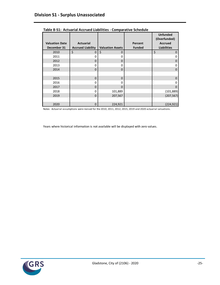|                       |                          |                         |               | <b>Unfunded</b><br>(Overfunded) |
|-----------------------|--------------------------|-------------------------|---------------|---------------------------------|
| <b>Valuation Date</b> | <b>Actuarial</b>         |                         | Percent       | <b>Accrued</b>                  |
| December 31           | <b>Accrued Liability</b> | <b>Valuation Assets</b> | <b>Funded</b> | <b>Liabilities</b>              |
| 2010                  | \$<br>$\Omega$           | \$<br>$\Omega$          |               | \$<br>$\Omega$                  |
| 2011                  | 0                        | 0                       |               | 0                               |
| 2012                  | 0                        | $\Omega$                |               | 0                               |
| 2013                  | 0                        | 0                       |               | 0                               |
| 2014                  | $\Omega$                 | $\Omega$                |               | $\Omega$                        |
|                       |                          |                         |               |                                 |
| 2015                  | $\mathbf 0$              | $\mathbf 0$             |               | $\Omega$                        |
| 2016                  | 0                        | 0                       |               | 0                               |
| 2017                  | 0                        | $\Omega$                |               | 0                               |
| 2018                  | 0                        | 101,889                 |               | (101, 889)                      |
| 2019                  | 0                        | 207,567                 |               | (207, 567)                      |
|                       |                          |                         |               |                                 |
| 2020                  | $\mathbf 0$              | 224,921                 |               | (224, 921)                      |

**Table 8-S1: Actuarial Accrued Liabilities - Comparative Schedule**

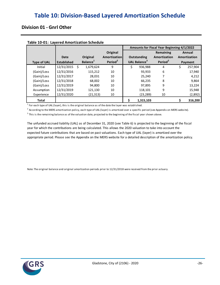### **Division 01 - Gnrl Other**

|                    |                            |                                  |                                                 | Amounts for Fiscal Year Beginning 4/1/2022 |                                                       |                                                  |    |                                   |
|--------------------|----------------------------|----------------------------------|-------------------------------------------------|--------------------------------------------|-------------------------------------------------------|--------------------------------------------------|----|-----------------------------------|
| <b>Type of UAL</b> | Date<br><b>Established</b> | Original<br>Balance <sup>1</sup> | Original<br>Amortization<br>Period <sup>2</sup> |                                            | <b>Outstanding</b><br><b>UAL Balance</b> <sup>3</sup> | Remaining<br>Amortization<br>Period <sup>2</sup> |    | Annual<br>Amortization<br>Payment |
| Initial            | 12/31/2015 \$              | 1,679,624                        | 9                                               | \$                                         | 936,988                                               | 4                                                | \$ | 257,904                           |
| (Gain)/Loss        | 12/31/2016                 | 115,212                          | 10                                              |                                            | 93,933                                                | 6                                                |    | 17,940                            |
| (Gain)/Loss        | 12/31/2017                 | 28,031                           | 10                                              |                                            | 25,240                                                | 7                                                |    | 4,212                             |
| (Gain)/Loss        | 12/31/2018                 | 68,002                           | 10                                              |                                            | 66,235                                                | 8                                                |    | 9,864                             |
| (Gain)/Loss        | 12/31/2019                 | 94,800                           | 10                                              |                                            | 97,895                                                | 9                                                |    | 13,224                            |
| Assumption         | 12/31/2019                 | 121,130                          | 10                                              |                                            | 118,101                                               | 9                                                |    | 15,948                            |
| Experience         | 12/31/2020                 | (21, 313)                        | 10                                              |                                            | (23, 289)                                             | 10                                               |    | (2,892)                           |
| <b>Total</b>       |                            |                                  |                                                 |                                            | 1,315,103                                             |                                                  |    | 316,200                           |

#### **Table 10-01: Layered Amortization Schedule**

 $<sup>1</sup>$  For each type of UAL (layer), this is the original balance as of the date the layer was established.</sup>

 $^2$  According to the MERS amortization policy, each type of UAL (layer) is amortized over a specific period (see Appendix on MERS website).

 $^3$  This is the remaining balance as of the valuation date, projected to the beginning of the fiscal year shown above.

The unfunded accrued liability (UAL) as of December 31, 2020 (see Table 6) is projected to the beginning of the fiscal appropriate period. Please see the Appendix on the MERS website for a detailed description of the amortization policy. year for which the contributions are being calculated. This allows the 2020 valuation to take into account the expected future contributions that are based on past valuations. Each type of UAL (layer) is amortized over the

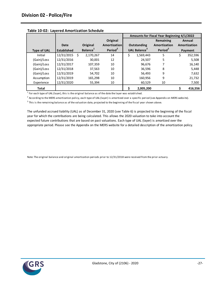|                    |                    |      |                      |                     | Amounts for Fiscal Year Beginning 4/1/2022 |                                 |                     |    |              |
|--------------------|--------------------|------|----------------------|---------------------|--------------------------------------------|---------------------------------|---------------------|----|--------------|
|                    |                    |      |                      | Original            |                                            |                                 | Remaining           |    | Annual       |
|                    | Date               |      | Original             | Amortization        |                                            | Outstanding                     | Amortization        |    | Amortization |
| <b>Type of UAL</b> | <b>Established</b> |      | Balance <sup>1</sup> | Period <sup>2</sup> |                                            | <b>UAL Balance</b> <sup>3</sup> | Period <sup>2</sup> |    | Payment      |
| Initial            | 12/31/2015         | - \$ | 2,170,267            | 14                  | \$                                         | 1,569,443                       | 5                   | \$ | 352,596      |
| (Gain)/Loss        | 12/31/2016         |      | 30,001               | 12                  |                                            | 24,507                          | 5                   |    | 5,508        |
| (Gain)/Loss        | 12/31/2017         |      | 107,359              | 10                  |                                            | 96,676                          |                     |    | 16,140       |
| (Gain)/Loss        | 12/31/2018         |      | 37,563               | 10                  |                                            | 36,596                          | 8                   |    | 5,448        |
| (Gain)/Loss        | 12/31/2019         |      | 54,702               | 10                  |                                            | 56,493                          | 9                   |    | 7,632        |
| Assumption         | 12/31/2019         |      | 165,298              | 10                  |                                            | 160,956                         | 9                   |    | 21,732       |
| Experience         | 12/31/2020         |      | 55,394               | 10                  |                                            | 60,529                          | 10                  |    | 7,500        |
| Total              |                    |      |                      |                     |                                            | 2,005,200                       |                     |    | 416,556      |

|  |  |  | Table 10-02: Layered Amortization Schedule |  |
|--|--|--|--------------------------------------------|--|
|--|--|--|--------------------------------------------|--|

 $<sup>1</sup>$  For each type of UAL (layer), this is the original balance as of the date the layer was established.</sup>

 $^2$  According to the MERS amortization policy, each type of UAL (layer) is amortized over a specific period (see Appendix on MERS website).

 $^3$  This is the remaining balance as of the valuation date, projected to the beginning of the fiscal year shown above.

The unfunded accrued liability (UAL) as of December 31, 2020 (see Table 6) is projected to the beginning of the fiscal appropriate period. Please see the Appendix on the MERS website for a detailed description of the amortization policy. year for which the contributions are being calculated. This allows the 2020 valuation to take into account the expected future contributions that are based on past valuations. Each type of UAL (layer) is amortized over the

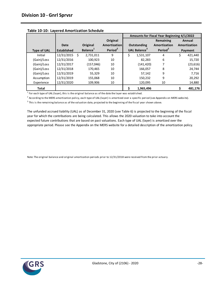|                    |                    |      |                      |                     | Amounts for Fiscal Year Beginning 4/1/2022 |                                 |                     |    |              |
|--------------------|--------------------|------|----------------------|---------------------|--------------------------------------------|---------------------------------|---------------------|----|--------------|
|                    |                    |      |                      | Original            |                                            |                                 | Remaining           |    | Annual       |
|                    | Date               |      | Original             | <b>Amortization</b> |                                            | Outstanding                     | Amortization        |    | Amortization |
| <b>Type of UAL</b> | <b>Established</b> |      | Balance <sup>1</sup> | Period <sup>2</sup> |                                            | <b>UAL Balance</b> <sup>3</sup> | Period <sup>2</sup> |    | Payment      |
| Initial            | 12/31/2015         | - \$ | 2,731,011            | 9                   | \$                                         | 1,531,107                       | 4                   | \$ | 421,440      |
| (Gain)/Loss        | 12/31/2016         |      | 100.923              | 10                  |                                            | 82.283                          | 6                   |    | 15,720       |
| (Gain)/Loss        | 12/31/2017         |      | (157, 046)           | 10                  |                                            | (141, 420)                      | 7                   |    | (23, 616)    |
| (Gain)/Loss        | 12/31/2018         |      | 170,465              | 10                  |                                            | 166,057                         | 8                   |    | 24,744       |
| (Gain)/Loss        | 12/31/2019         |      | 55,329               | 10                  |                                            | 57,142                          | 9                   |    | 7,716        |
| Assumption         | 12/31/2019         |      | 155,068              | 10                  |                                            | 150,232                         | 9                   |    | 20,292       |
| Experience         | 12/31/2020         |      | 109,906              | 10                  |                                            | 120,095                         | 10                  |    | 14,880       |
| <b>Total</b>       |                    |      |                      |                     |                                            | 1,965,496                       |                     |    | 481,176      |

**Table 10-10: Layered Amortization Schedule**

 $<sup>1</sup>$  For each type of UAL (layer), this is the original balance as of the date the layer was established.</sup>

 $^2$  According to the MERS amortization policy, each type of UAL (layer) is amortized over a specific period (see Appendix on MERS website).

 $^3$  This is the remaining balance as of the valuation date, projected to the beginning of the fiscal year shown above.

The unfunded accrued liability (UAL) as of December 31, 2020 (see Table 6) is projected to the beginning of the fiscal appropriate period. Please see the Appendix on the MERS website for a detailed description of the amortization policy. year for which the contributions are being calculated. This allows the 2020 valuation to take into account the expected future contributions that are based on past valuations. Each type of UAL (layer) is amortized over the

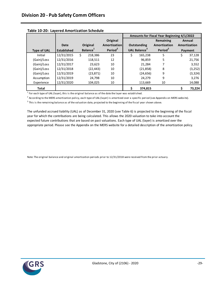|                    |                    |                      |                     | Amounts for Fiscal Year Beginning 4/1/2022 |                                 |                     |    |              |
|--------------------|--------------------|----------------------|---------------------|--------------------------------------------|---------------------------------|---------------------|----|--------------|
|                    |                    |                      | Original            |                                            |                                 | Remaining           |    | Annual       |
|                    | Date               | Original             | Amortization        |                                            | Outstanding                     | Amortization        |    | Amortization |
| <b>Type of UAL</b> | <b>Established</b> | Balance <sup>1</sup> | Period <sup>2</sup> |                                            | <b>UAL Balance</b> <sup>3</sup> | Period <sup>2</sup> |    | Payment      |
| Initial            | 12/31/2015         | 218.386<br>\$        | 23                  | Ś                                          | 165,238                         | 5                   | \$ | 37,128       |
| (Gain)/Loss        | 12/31/2016         | 118,511              | 12                  |                                            | 96,859                          | 5                   |    | 21,756       |
| (Gain)/Loss        | 12/31/2017         | 23,623               | 10                  |                                            | 21,284                          |                     |    | 3,552        |
| (Gain)/Loss        | 12/31/2018         | (22, 443)            | 10                  |                                            | (21,858)                        | 8                   |    | (3, 252)     |
| (Gain)/Loss        | 12/31/2019         | (23, 871)            | 10                  |                                            | (24,656)                        | 9                   |    | (3, 324)     |
| Assumption         | 12/31/2019         | 24,798               | 10                  |                                            | 24,279                          | 9                   |    | 3,276        |
| Experience         | 12/31/2020         | 104,025              | 10                  |                                            | 113,669                         | 10                  |    | 14,088       |
| Total              |                    |                      |                     |                                            | 374.815                         |                     |    | 73,224       |

|  |  | Table 10-20: Layered Amortization Schedule |  |
|--|--|--------------------------------------------|--|
|--|--|--------------------------------------------|--|

 $<sup>1</sup>$  For each type of UAL (layer), this is the original balance as of the date the layer was established.</sup>

 $^2$  According to the MERS amortization policy, each type of UAL (layer) is amortized over a specific period (see Appendix on MERS website).

 $^3$  This is the remaining balance as of the valuation date, projected to the beginning of the fiscal year shown above.

The unfunded accrued liability (UAL) as of December 31, 2020 (see Table 6) is projected to the beginning of the fiscal appropriate period. Please see the Appendix on the MERS website for a detailed description of the amortization policy. year for which the contributions are being calculated. This allows the 2020 valuation to take into account the expected future contributions that are based on past valuations. Each type of UAL (layer) is amortized over the

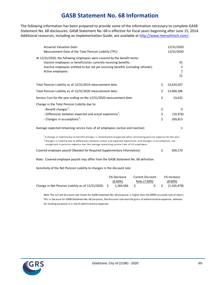### **GASB Statement No. 68 Information**

The following information has been prepared to provide some of the information necessary to complete GASB Statement No. 68 disclosures. GASB Statement No. 68 is effective for fiscal years beginning after June 15, 2014. Additional resources, including an Implementation Guide, are available at [http://www.mersofmich.com/.](http://www.mersofmich.com/)

| <b>Actuarial Valuation Date:</b><br>Measurement Date of the Total Pension Liability (TPL):                                                                                                                                                                                                                                                     |                | 12/31/2020<br>12/31/2020        |
|------------------------------------------------------------------------------------------------------------------------------------------------------------------------------------------------------------------------------------------------------------------------------------------------------------------------------------------------|----------------|---------------------------------|
| At 12/31/2020, the following employees were covered by the benefit terms:<br>Inactive employees or beneficiaries currently receiving benefits:<br>Inactive employees entitled to but not yet receiving benefits (including refunds):<br>Active employees:                                                                                      |                | 41<br>3<br>$\overline{1}$<br>51 |
| Total Pension Liability as of 12/31/2019 measurement date:                                                                                                                                                                                                                                                                                     | \$             | 13,624,507                      |
| Total Pension Liability as of 12/31/2020 measurement date:                                                                                                                                                                                                                                                                                     | \$             | 13,904,396                      |
| Service Cost for the year ending on the 12/31/2020 measurement date:                                                                                                                                                                                                                                                                           | \$             | 53,632                          |
| Change in the Total Pension Liability due to:<br>- Benefit changes <sup>1</sup> :<br>- Differences between expected and actual experience <sup>2</sup> :<br>- Changes in assumptions <sup>2</sup> :                                                                                                                                            | \$<br>\$<br>\$ | 0<br>(10, 976)<br>269,813       |
| Average expected remaining service lives of all employees (active and inactive):                                                                                                                                                                                                                                                               |                | $\mathbf{1}$                    |
| $^1$ A change in liability due to benefit changes is immediately recognized when calculating pension expense for the year.<br>$^2$ Changes in liability due to differences between actual and expected experience, and changes in assumptions, are<br>recognized in pension expense over the average remaining service lives of all employees. |                |                                 |
| Covered employee payroll (Needed for Required Supplementary Information):                                                                                                                                                                                                                                                                      | \$             | 504,170                         |
| Note: Covered employee payroll may differ from the GASB Statement No. 68 definition.                                                                                                                                                                                                                                                           |                |                                 |
| Sensitivity of the Net Pension Liability to changes in the discount rate:                                                                                                                                                                                                                                                                      |                |                                 |
| 10/ Desmass Current Dissount                                                                                                                                                                                                                                                                                                                   |                | $10/$ lnerones                  |

|                                                         | 1% Decrease | Current Discount | 1% Increase              |
|---------------------------------------------------------|-------------|------------------|--------------------------|
|                                                         | $(6.60\%)$  | Rate (7.60%)     | $(8.60\%)$               |
| Change in Net Pension Liability as of $12/31/2020$ : \$ | 1.369.566   |                  | $0 \quad$ \$ (1,165,478) |

Note: The current discount rate shown for GASB Statement No. 68 purposes is higher than the MERS assumed rate of return. This is because for GASB Statement No. 68 purposes, the discount rate must be gross of administrative expenses, whereas for funding purposes it is net of administrative expenses.

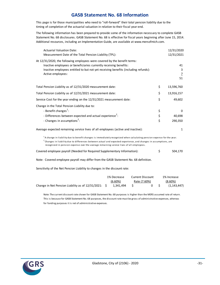### **GASB Statement No. 68 Information**

This page is for those municipalities who need to "roll-forward" their total pension liability due to the timing of completion of the actuarial valuation in relation to their fiscal year-end.

The following information has been prepared to provide some of the information necessary to complete GASB Statement No. 68 disclosures. GASB Statement No. 68 is effective for fiscal years beginning after June 15, 2014. Additional resources, including an Implementation Guide, are available at www.mersofmich.com.

| <b>Actuarial Valuation Date:</b><br>Measurement Date of the Total Pension Liability (TPL):                                                                                                                                                                                                                                                    |                | 12/31/2020<br>12/31/2021                   |
|-----------------------------------------------------------------------------------------------------------------------------------------------------------------------------------------------------------------------------------------------------------------------------------------------------------------------------------------------|----------------|--------------------------------------------|
| At 12/31/2020, the following employees were covered by the benefit terms:<br>Inactive employees or beneficiaries currently receiving benefits:<br>Inactive employees entitled to but not yet receiving benefits (including refunds):<br>Active employees:                                                                                     |                | 41<br>3<br>$\underline{7}$<br>51           |
| Total Pension Liability as of 12/31/2020 measurement date:                                                                                                                                                                                                                                                                                    | \$             | 13,596,760                                 |
| Total Pension Liability as of 12/31/2021 measurement date:                                                                                                                                                                                                                                                                                    | \$             | 13,916,157                                 |
| Service Cost for the year ending on the 12/31/2021 measurement date:                                                                                                                                                                                                                                                                          | \$             | 49,602                                     |
| Change in the Total Pension Liability due to:<br>- Benefit changes <sup>1</sup> :<br>- Differences between expected and actual experience <sup>2</sup> :<br>- Changes in assumptions <sup>2</sup> :                                                                                                                                           | \$<br>\$<br>\$ | 0<br>40,698<br>290,350                     |
| Average expected remaining service lives of all employees (active and inactive):                                                                                                                                                                                                                                                              |                | $\mathbf{1}$                               |
| $^1$ A change in liability due to benefit changes is immediately recognized when calculating pension expense for the year.<br>$2$ Changes in liability due to differences between actual and expected experience, and changes in assumptions, are<br>recognized in pension expense over the average remaining service lives of all employees. |                |                                            |
| Covered employee payroll (Needed for Required Supplementary Information):                                                                                                                                                                                                                                                                     | \$             | 504,170                                    |
| Note: Covered employee payroll may differ from the GASB Statement No. 68 definition.                                                                                                                                                                                                                                                          |                |                                            |
| Sensitivity of the Net Pension Liability to changes in the discount rate:                                                                                                                                                                                                                                                                     |                |                                            |
| 1% Decrease<br><b>Current Discount</b><br>(6.60%)<br>Rate (7.60%)<br>\$<br>Change in Net Pension Liability as of 12/31/2021:<br>Ś.<br>1,341,494<br>0                                                                                                                                                                                          | \$             | 1% Increase<br>$(8.60\%)$<br>(1, 143, 447) |

Note: The current discount rate shown for GASB Statement No. 68 purposes is higher than the MERS assumed rate of return. This is because for GASB Statement No. 68 purposes, the discount rate must be gross of administrative expenses, whereas for funding purposes it is net of administrative expenses.

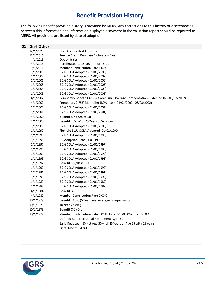# **Benefit Provision History**

The following benefit provision history is provided by MERS. Any corrections to this history or discrepancies between this information and information displayed elsewhere in the valuation report should be reported to MERS. All provisions are listed by date of adoption.

| 01 - Gnrl Other      |                                                                                       |
|----------------------|---------------------------------------------------------------------------------------|
| 12/1/2020            | Non-Accelerated Amortization                                                          |
| 12/1/2016            | Service Credit Purchase Estimates - Yes                                               |
| 4/1/2013             | <b>Option B Yes</b>                                                                   |
| 4/1/2013             | Accelerated to 15-year Amortization                                                   |
| 9/1/2011             | Member Contribution Rate 1.00%                                                        |
| 1/1/2008             | E 2% COLA Adopted (01/01/2008)                                                        |
| 1/1/2007             | E 2% COLA Adopted (01/01/2007)                                                        |
| 1/1/2006             | E 2% COLA Adopted (01/01/2006)<br>E 2% COLA Adopted (01/01/2005)                      |
| 1/1/2005<br>1/1/2004 | E 2% COLA Adopted (01/01/2004)                                                        |
| 1/1/2003             | E 2% COLA Adopted (01/01/2003)                                                        |
| 4/1/2002             | Temporary Benefit FAC-3 (3 Year Final Average Compensation) (04/01/2002 - 06/03/2002) |
| 4/1/2002             | Temporary 2.75% Multiplier (80% max) (04/01/2002 - 06/03/2002)                        |
| 1/1/2002             | E 2% COLA Adopted (01/01/2002)                                                        |
| 1/1/2001             | E 2% COLA Adopted (01/01/2001)                                                        |
| 4/1/2000             | Benefit B-4 (80% max)                                                                 |
| 4/1/2000             | Benefit F55 (With 25 Years of Service)                                                |
| 1/1/2000             | E 2% COLA Adopted (01/01/2000)                                                        |
| 1/1/1999             | Flexible E 2% COLA Adopted (01/01/1999)                                               |
|                      | E 2% COLA Adopted (01/01/1998)                                                        |
| 1/1/1998<br>1/1/1998 | DC Adoption Date 01-01-1998                                                           |
|                      |                                                                                       |
| 1/1/1997             | E 2% COLA Adopted (01/01/1997)                                                        |
| 1/1/1996             | E 2% COLA Adopted (01/01/1996)                                                        |
| 1/1/1995             | E 2% COLA Adopted (01/01/1995)                                                        |
| 1/1/1993             | E 2% COLA Adopted (01/01/1993)                                                        |
| 1/1/1992             | Benefit C-2/Base B-1                                                                  |
| 1/1/1992             | E 2% COLA Adopted (01/01/1992)                                                        |
| 1/1/1991             | E 2% COLA Adopted (01/01/1991)                                                        |
| 1/1/1990             | E 2% COLA Adopted (01/01/1990)                                                        |
| 1/1/1989             | E 2% COLA Adopted (01/01/1989)                                                        |
| 1/1/1987             | E 2% COLA Adopted (01/01/1987)                                                        |
| 4/1/1984             | Benefit B-1                                                                           |
| 4/1/1982             | Member Contribution Rate 0.00%                                                        |
| 10/1/1979            | Benefit FAC-5 (5 Year Final Average Compensation)                                     |
| 10/1/1979            | 10 Year Vesting                                                                       |
| 10/1/1979            | Benefit C-1 (Old)                                                                     |
| 10/1/1979            | Member Contribution Rate 3.00% Under \$4,200.00 - Then 5.00%                          |
|                      | Defined Benefit Normal Retirement Age - 60                                            |
|                      | Early Reduced (.5%) at Age 50 with 25 Years or Age 55 with 15 Years                   |
|                      | Fiscal Month - April                                                                  |

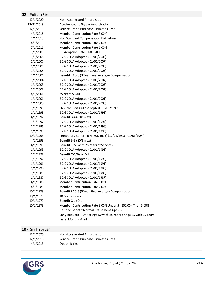### **02 - Police/Fire**

| 12/1/2020  | Non-Accelerated Amortization                                        |
|------------|---------------------------------------------------------------------|
| 12/31/2018 | Accelerated to 5-year Amortization                                  |
| 12/1/2016  | Service Credit Purchase Estimates - Yes                             |
| 4/1/2015   | <b>Member Contribution Rate 3.00%</b>                               |
| 4/1/2013   | Non Standard Compensation Definition                                |
| 4/1/2013   | <b>Member Contribution Rate 2.00%</b>                               |
|            | Member Contribution Rate 1.00%                                      |
| 7/1/2011   |                                                                     |
| 1/1/2009   | DC Adoption Date 01-01-2009                                         |
| 1/1/2008   | E 2% COLA Adopted (01/01/2008)                                      |
| 1/1/2007   | E 2% COLA Adopted (01/01/2007)                                      |
| 1/1/2006   | E 2% COLA Adopted (01/01/2006)                                      |
| 1/1/2005   | E 2% COLA Adopted (01/01/2005)                                      |
| 4/1/2004   | Benefit FAC-3 (3 Year Final Average Compensation)                   |
| 1/1/2004   | E 2% COLA Adopted (01/01/2004)                                      |
| 1/1/2003   | E 2% COLA Adopted (01/01/2003)                                      |
| 1/1/2002   | E 2% COLA Adopted (01/01/2002)                                      |
| 4/1/2001   | 25 Years & Out                                                      |
| 1/1/2001   | E 2% COLA Adopted (01/01/2001)                                      |
| 1/1/2000   | E 2% COLA Adopted (01/01/2000)                                      |
| 1/1/1999   | Flexible E 2% COLA Adopted (01/01/1999)                             |
| 1/1/1998   | E 2% COLA Adopted (01/01/1998)                                      |
| 4/1/1997   | Benefit B-4 (80% max)                                               |
| 1/1/1997   | E 2% COLA Adopted (01/01/1997)                                      |
| 1/1/1996   | E 2% COLA Adopted (01/01/1996)                                      |
| 1/1/1995   | E 2% COLA Adopted (01/01/1995)                                      |
| 10/1/1993  | Temporary Benefit B-4 (80% max) (10/01/1993 - 01/01/1994)           |
| 4/1/1993   | Benefit B-3 (80% max)                                               |
| 4/1/1993   | Benefit F55 (With 25 Years of Service)                              |
| 1/1/1993   | E 2% COLA Adopted (01/01/1993)                                      |
| 1/1/1992   | Benefit C-2/Base B-1                                                |
| 1/1/1992   | E 2% COLA Adopted (01/01/1992)                                      |
| 1/1/1991   | E 2% COLA Adopted (01/01/1991)                                      |
| 1/1/1990   | E 2% COLA Adopted (01/01/1990)                                      |
| 1/1/1989   | E 2% COLA Adopted (01/01/1989)                                      |
| 1/1/1987   | E 2% COLA Adopted (01/01/1987)                                      |
| 4/1/1986   | Member Contribution Rate 0.00%                                      |
| 4/1/1985   | Member Contribution Rate 2.00%                                      |
| 10/1/1979  | Benefit FAC-5 (5 Year Final Average Compensation)                   |
| 10/1/1979  | 10 Year Vesting                                                     |
| 10/1/1979  | Benefit C-1 (Old)                                                   |
| 10/1/1979  | Member Contribution Rate 3.00% Under \$4,200.00 - Then 5.00%        |
|            | Defined Benefit Normal Retirement Age - 60                          |
|            | Early Reduced (.5%) at Age 50 with 25 Years or Age 55 with 15 Years |
|            | Fiscal Month - April                                                |

### **10 - Gnrl Sprvsr**

| 12/1/2020 | Non-Accelerated Amortization            |
|-----------|-----------------------------------------|
| 12/1/2016 | Service Credit Purchase Estimates - Yes |
| 4/1/2013  | Option B Yes                            |

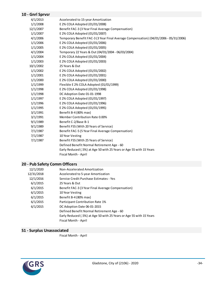### **10 - Gnrl Sprvsr**

| 4/1/2013  | Accelerated to 15-year Amortization                                                   |
|-----------|---------------------------------------------------------------------------------------|
| 1/1/2008  | E 2% COLA Adopted (01/01/2008)                                                        |
| 12/1/2007 | Benefit FAC-3 (3 Year Final Average Compensation)                                     |
| 1/1/2007  | E 2% COLA Adopted (01/01/2007)                                                        |
| 4/1/2006  | Temporary Benefit FAC-3 (3 Year Final Average Compensation) (04/01/2006 - 05/31/2006) |
| 1/1/2006  | E 2% COLA Adopted (01/01/2006)                                                        |
| 1/1/2005  | E 2% COLA Adopted (01/01/2005)                                                        |
| 4/1/2004  | Temporary 22 Years & Out (04/01/2004 - 06/03/2004)                                    |
| 1/1/2004  | E 2% COLA Adopted (01/01/2004)                                                        |
| 1/1/2003  | E 2% COLA Adopted (01/01/2003)                                                        |
| 10/1/2002 | 25 Years & Out                                                                        |
| 1/1/2002  | E 2% COLA Adopted (01/01/2002)                                                        |
| 1/1/2001  | E 2% COLA Adopted (01/01/2001)                                                        |
| 1/1/2000  | E 2% COLA Adopted (01/01/2000)                                                        |
| 1/1/1999  | Flexible E 2% COLA Adopted (01/01/1999)                                               |
| 1/1/1998  | E 2% COLA Adopted (01/01/1998)                                                        |
| 1/1/1998  | DC Adoption Date 01-01-1998                                                           |
| 1/1/1997  | E 2% COLA Adopted (01/01/1997)                                                        |
| 1/1/1996  | E 2% COLA Adopted (01/01/1996)                                                        |
| 1/1/1995  | E 2% COLA Adopted (01/01/1995)                                                        |
| 3/1/1991  | Benefit B-4 (80% max)                                                                 |
| 3/1/1991  | Member Contribution Rate 0.00%                                                        |
| 9/1/1989  | Benefit C-2/Base B-1                                                                  |
| 9/1/1989  | Benefit F55 (With 20 Years of Service)                                                |
| 7/1/1987  | Benefit FAC-5 (5 Year Final Average Compensation)                                     |
| 7/1/1987  | 10 Year Vesting                                                                       |
| 7/1/1987  | Benefit F55 (With 25 Years of Service)                                                |
|           | Defined Benefit Normal Retirement Age - 60                                            |
|           | Early Reduced (.5%) at Age 50 with 25 Years or Age 55 with 15 Years                   |
|           | Fiscal Month - April                                                                  |
|           |                                                                                       |

### **20 - Pub Safety Comm Officers**

| 12/1/2020  | Non-Accelerated Amortization                                        |
|------------|---------------------------------------------------------------------|
| 12/31/2018 | Accelerated to 5-year Amortization                                  |
| 12/1/2016  | Service Credit Purchase Estimates - Yes                             |
| 6/1/2015   | 25 Years & Out                                                      |
| 6/1/2015   | Benefit FAC-3 (3 Year Final Average Compensation)                   |
| 6/1/2015   | 10 Year Vesting                                                     |
| 6/1/2015   | Benefit B-4 (80% max)                                               |
| 6/1/2015   | Participant Contribution Rate 1%                                    |
| 6/1/2015   | DC Adoption Date 06-01-2015                                         |
|            | Defined Benefit Normal Retirement Age - 60                          |
|            | Early Reduced (.5%) at Age 50 with 25 Years or Age 55 with 15 Years |
|            | Fiscal Month - April                                                |

### **S1 - Surplus Unassociated**

Fiscal Month - April

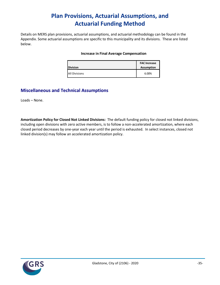# **Plan Provisions, Actuarial Assumptions, and Actuarial Funding Method**

Details on MERS plan provisions, actuarial assumptions, and actuarial methodology can be found in the Appendix. Some actuarial assumptions are specific to this municipality and its divisions. These are listed below.

#### **Increase in Final Average Compensation**

| <b>Division</b>      | <b>FAC Increase</b><br><b>Assumption</b> |  |
|----------------------|------------------------------------------|--|
| <b>All Divisions</b> | 6.00%                                    |  |

### **Miscellaneous and Technical Assumptions**

Loads – None.

**Amortization Policy for Closed Not Linked Divisions:** The default funding policy for closed not linked divisions, including open divisions with zero active members, is to follow a non-accelerated amortization, where each closed period decreases by one-year each year until the period is exhausted. In select instances, closed not linked division(s) may follow an accelerated amortization policy.

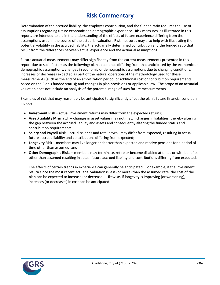# **Risk Commentary**

Determination of the accrued liability, the employer contribution, and the funded ratio requires the use of assumptions regarding future economic and demographic experience. Risk measures, as illustrated in this report, are intended to aid in the understanding of the effects of future experience differing from the assumptions used in the course of the actuarial valuation. Risk measures may also help with illustrating the potential volatility in the accrued liability, the actuarially determined contribution and the funded ratio that result from the differences between actual experience and the actuarial assumptions.

Future actuarial measurements may differ significantly from the current measurements presented in this report due to such factors as the following: plan experience differing from that anticipated by the economic or demographic assumptions; changes in economic or demographic assumptions due to changing conditions; increases or decreases expected as part of the natural operation of the methodology used for these measurements (such as the end of an amortization period, or additional cost or contribution requirements based on the Plan's funded status); and changes in plan provisions or applicable law. The scope of an actuarial valuation does not include an analysis of the potential range of such future measurements.

Examples of risk that may reasonably be anticipated to significantly affect the plan's future financial condition include:

- **Investment Risk** actual investment returns may differ from the expected returns;
- **Asset/Liability Mismatch** changes in asset values may not match changes in liabilities, thereby altering the gap between the accrued liability and assets and consequently altering the funded status and contribution requirements;
- **Salary and Payroll Risk** actual salaries and total payroll may differ from expected, resulting in actual future accrued liability and contributions differing from expected;
- **Longevity Risk** members may live longer or shorter than expected and receive pensions for a period of time other than assumed; and
- **Other Demographic Risks –** members may terminate, retire or become disabled at times or with benefits other than assumed resulting in actual future accrued liability and contributions differing from expected.

The effects of certain trends in experience can generally be anticipated. For example, if the investment return since the most recent actuarial valuation is less (or more) than the assumed rate, the cost of the plan can be expected to increase (or decrease). Likewise, if longevity is improving (or worsening), increases (or decreases) in cost can be anticipated.

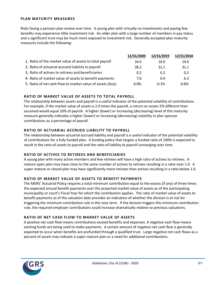#### **PLAN MATURITY MEASURES**

Risks facing a pension plan evolve over time. A young plan with virtually no investments and paying few benefits may experience little investment risk. An older plan with a large number of members in pay status and a significant trust may be much more exposed to investment risk. Generally accepted plan maturity measures include the following:

|                                                           | 12/31/2020 | 12/31/2019 | 12/31/2018 |
|-----------------------------------------------------------|------------|------------|------------|
| 1. Ratio of the market value of assets to total payroll   | 16.0       | 16.0       | 14.6       |
| 2. Ratio of actuarial accrued liability to payroll        | 28.2       | 31.1       | 31.1       |
| 3. Ratio of actives to retirees and beneficiaries         | 0.2        | 0.2        | 0.2        |
| 4. Ratio of market value of assets to benefit payments    | 7.8        | 6.9        | 6.3        |
| 5. Ratio of net cash flow to market value of assets (boy) | $0.0\%$    | $-0.1%$    | $-0.6%$    |

#### **RATIO OF MARKET VALUE OF ASSETS TO TOTAL PAYROLL**

The relationship between assets and payroll is a useful indicator of the potential volatility of contributions. For example, if the market value of assets is 2.0 times the payroll, a return on assets 5% different than assumed would equal 10% of payroll. A higher (lower) or increasing (decreasing) level of this maturity measure generally indicates a higher (lower) or increasing (decreasing) volatility in plan sponsor contributions as a percentage of payroll.

#### **RATIO OF ACTUARIAL ACCRUED LIABILITY TO PAYROLL**

The relationship between actuarial accrued liability and payroll is a useful indicator of the potential volatility of contributions for a fully funded plan. A funding policy that targets a funded ratio of 100% is expected to result in the ratio of assets to payroll and the ratio of liability to payroll converging over time.

#### **RATIO OF ACTIVES TO RETIREES AND BENEFICIARIES**

A young plan with many active members and few retirees will have a high ratio of actives to retirees. A mature open plan may have close to the same number of actives to retirees resulting in a ratio near 1.0. A super-mature or closed plan may have significantly more retirees than actives resulting in a ratio below 1.0.

#### **RATIO OF MARKET VALUE OF ASSETS TO BENEFIT PAYMENTS**

The MERS' Actuarial Policy requires a total minimum contribution equal to the excess (if any) of three times the expected annual benefit payments over the projected market value of assets as of the participating municipality or court's Fiscal Year for which the contribution applies. The ratio of market value of assets to benefit payments as of the valuation date provides an indication of whether the division is at risk for triggering the minimum contribution rule in the near term. If the division triggers this minimum contribution rule, the required employer contributions could increase dramatically relative to previous valuations.

#### **RATIO OF NET CASH FLOW TO MARKET VALUE OF ASSETS**

A positive net cash flow means contributions exceed benefits and expenses. A negative cash flow means existing funds are being used to make payments. A certain amount of negative net cash flow is generally expected to occur when benefits are prefunded through a qualified trust. Large negative net cash flows as a percent of assets may indicate a super-mature plan or a need for additional contributions.